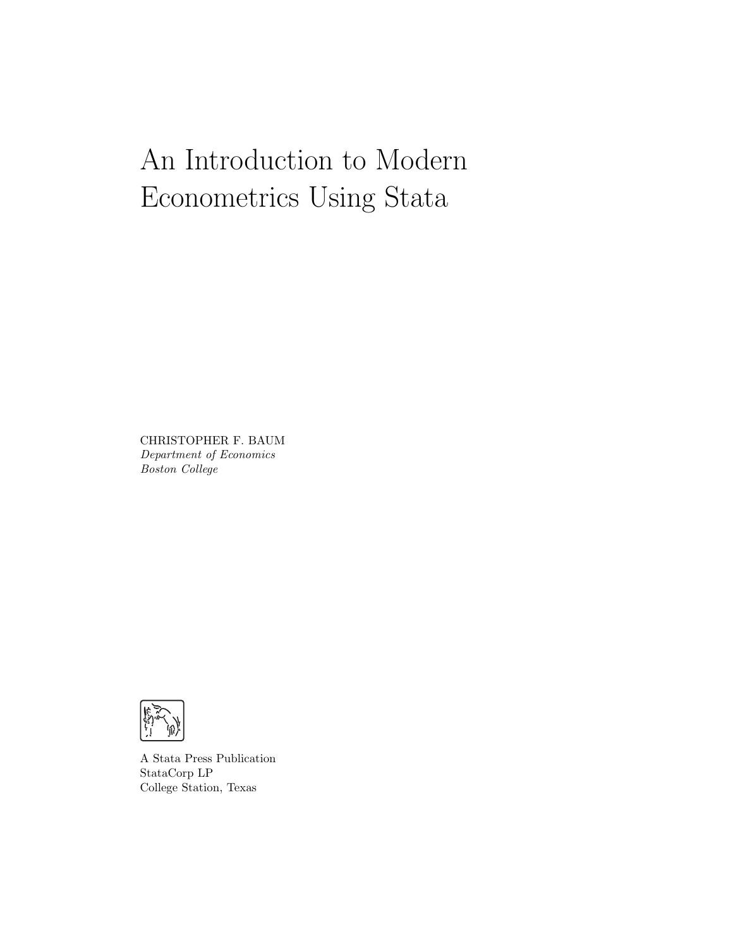# An Introduction to Modern Econometrics Using Stata

CHRISTOPHER F. BAUM Department of Economics Boston College



A Stata Press Publication StataCorp LP College Station, Texas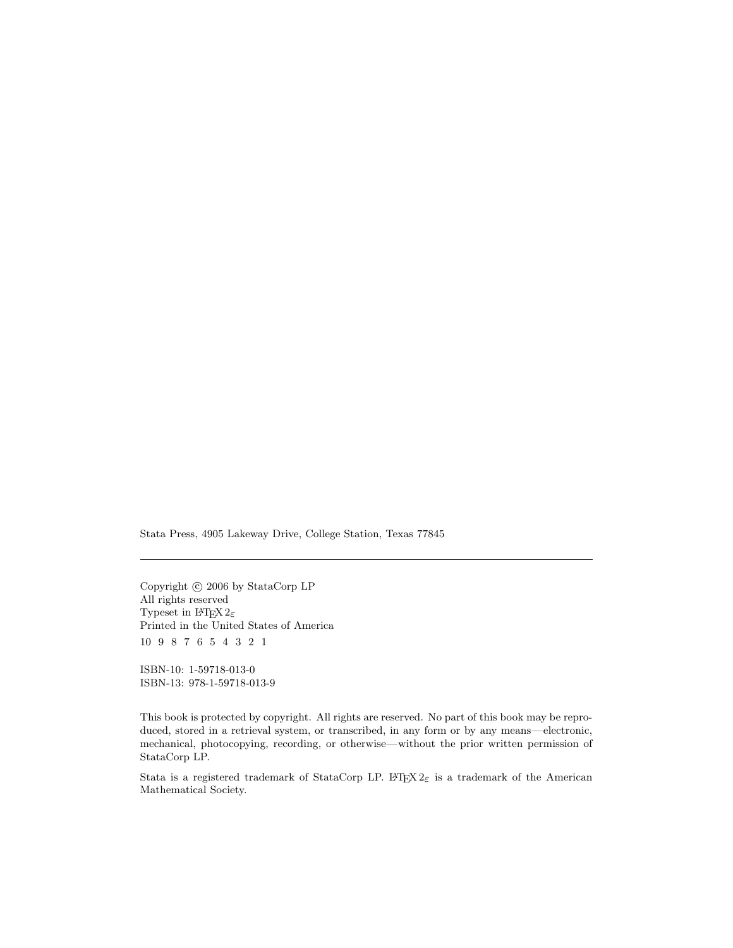Stata Press, 4905 Lakeway Drive, College Station, Texas 77845

Copyright  $\odot$  2006 by StataCorp LP All rights reserved Typeset in  $\mathbb{L}\mathrm{FT}_{\widetilde{\mathbf{L}}} X\,2_\mathcal{E}$ Printed in the United States of America 10 9 8 7 6 5 4 3 2 1

ISBN-10: 1-59718-013-0 ISBN-13: 978-1-59718-013-9

This book is protected by copyright. All rights are reserved. No part of this book may be reproduced, stored in a retrieval system, or transcribed, in any form or by any means—electronic, mechanical, photocopying, recording, or otherwise—without the prior written permission of StataCorp LP.

Stata is a registered trademark of StataCorp LP. LATEX  $2\varepsilon$  is a trademark of the American Mathematical Society.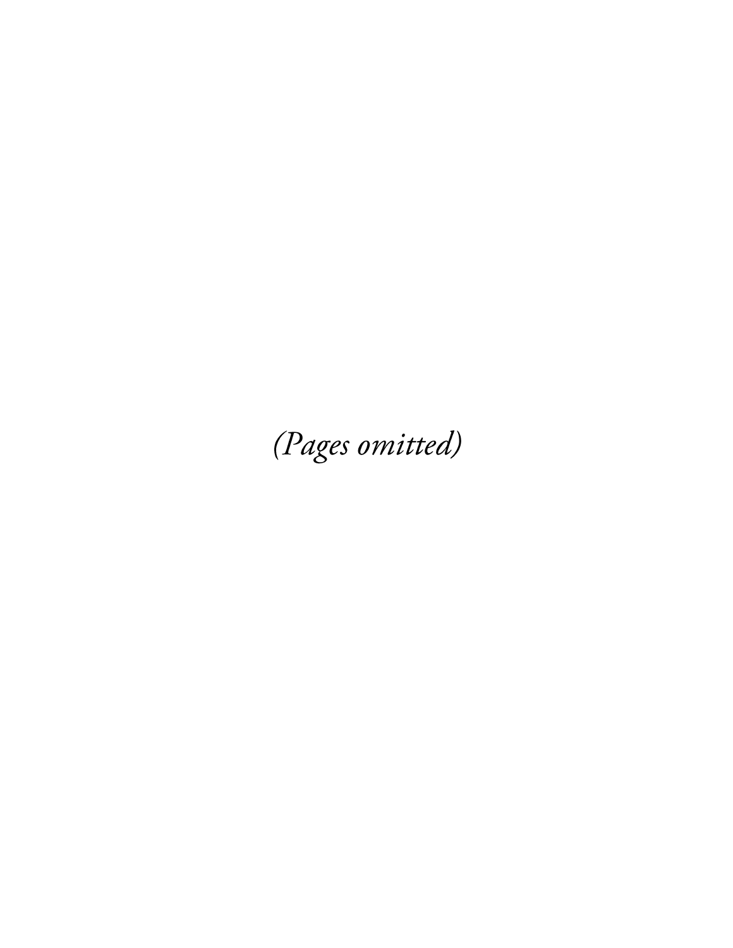(Pages omitted)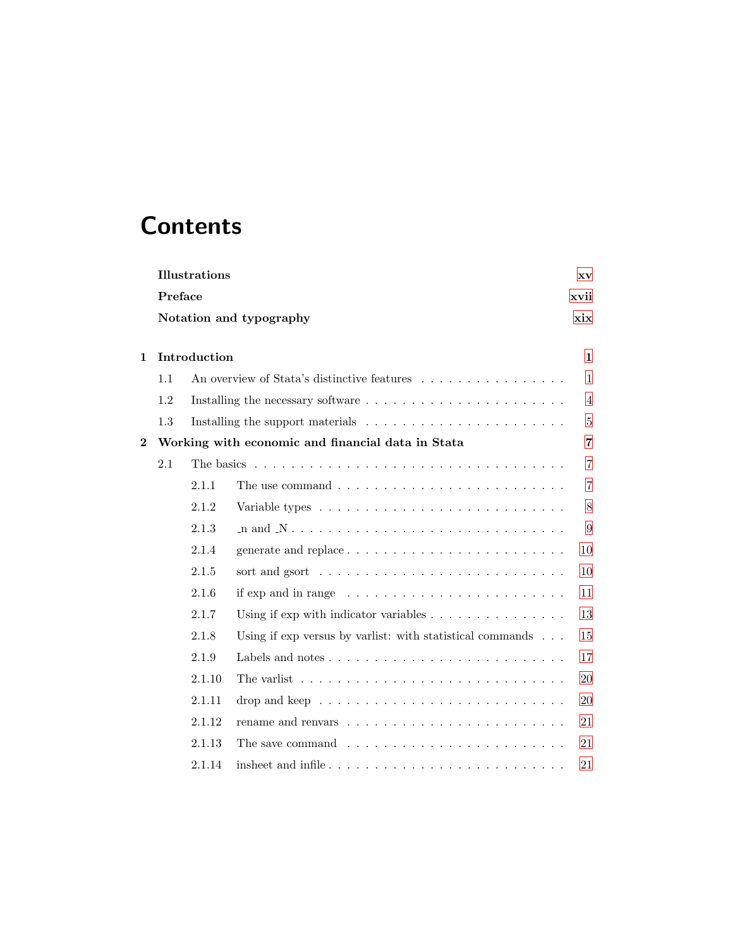## **Contents**

|                | <b>Illustrations</b><br>XV |                                                                                          |                                                                                             |                |  |  |  |  |  |
|----------------|----------------------------|------------------------------------------------------------------------------------------|---------------------------------------------------------------------------------------------|----------------|--|--|--|--|--|
|                |                            | Preface                                                                                  |                                                                                             |                |  |  |  |  |  |
|                |                            | xix<br>Notation and typography                                                           |                                                                                             |                |  |  |  |  |  |
|                |                            |                                                                                          |                                                                                             |                |  |  |  |  |  |
| $\mathbf{1}$   |                            | Introduction                                                                             |                                                                                             |                |  |  |  |  |  |
|                | 1.1                        |                                                                                          | An overview of Stata's distinctive features                                                 | 1              |  |  |  |  |  |
|                | 1.2                        |                                                                                          |                                                                                             | 4              |  |  |  |  |  |
|                | 1.3                        |                                                                                          | Installing the support materials $\ldots \ldots \ldots \ldots \ldots \ldots \ldots$         | 5              |  |  |  |  |  |
| $\overline{2}$ |                            |                                                                                          | Working with economic and financial data in Stata                                           | $\overline{7}$ |  |  |  |  |  |
|                | 2.1                        |                                                                                          |                                                                                             | 7              |  |  |  |  |  |
|                |                            | 2.1.1                                                                                    |                                                                                             | $\overline{7}$ |  |  |  |  |  |
|                |                            | 2.1.2                                                                                    |                                                                                             |                |  |  |  |  |  |
|                | 2.1.3                      |                                                                                          |                                                                                             |                |  |  |  |  |  |
|                |                            | 2.1.4                                                                                    | generate and replace                                                                        | 10             |  |  |  |  |  |
|                |                            | 2.1.5                                                                                    | sort and gsort $\dots \dots \dots \dots \dots \dots \dots \dots \dots \dots$                | 10             |  |  |  |  |  |
|                |                            | 2.1.6                                                                                    |                                                                                             | 11             |  |  |  |  |  |
|                |                            | 2.1.7                                                                                    | Using if $\exp$ with indicator variables $\ldots \ldots \ldots \ldots \ldots$               | 13             |  |  |  |  |  |
|                |                            | 2.1.8                                                                                    | Using if $\exp$ versus by variist: with statistical commands $\ldots$                       | 15             |  |  |  |  |  |
|                |                            | 2.1.9                                                                                    | Labels and notes $\ldots \ldots \ldots \ldots \ldots \ldots \ldots \ldots$                  | 17             |  |  |  |  |  |
|                | 2.1.10                     |                                                                                          |                                                                                             |                |  |  |  |  |  |
|                |                            | 2.1.11<br>drop and keep $\ldots \ldots \ldots \ldots \ldots \ldots \ldots \ldots \ldots$ |                                                                                             |                |  |  |  |  |  |
|                |                            | 2.1.12                                                                                   |                                                                                             | 21             |  |  |  |  |  |
|                |                            | 2.1.13                                                                                   | The save command $\ldots$ , $\ldots$ , $\ldots$ , $\ldots$ , $\ldots$ , $\ldots$ , $\ldots$ | 21             |  |  |  |  |  |
|                |                            | 2.1.14                                                                                   |                                                                                             | 21             |  |  |  |  |  |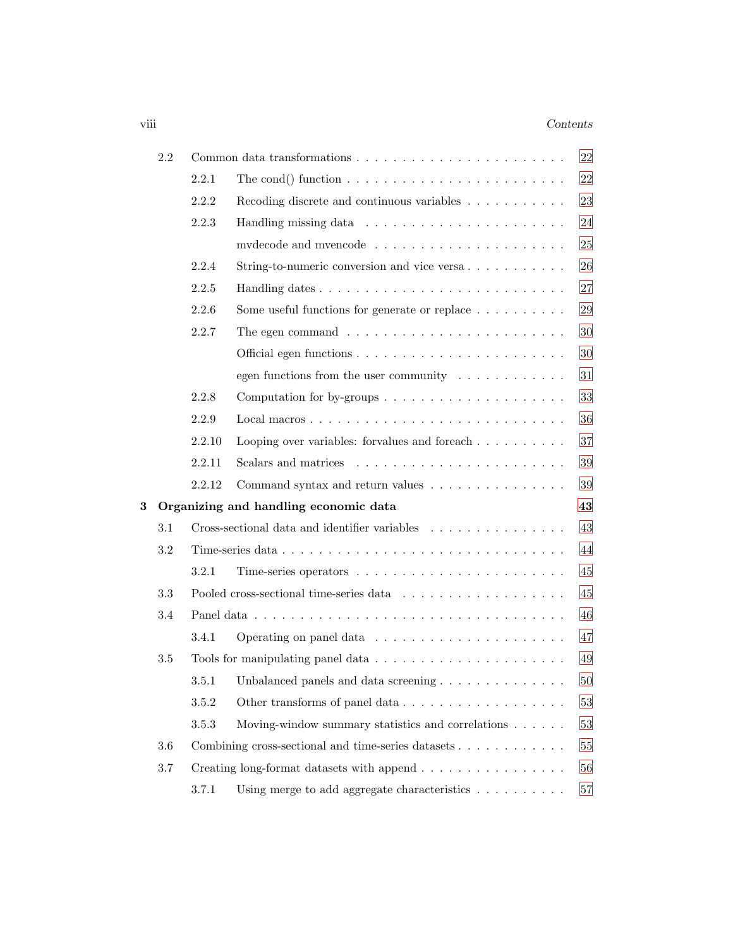## viii *Contents*

|   | 2.2     |                                                                                |                                                                                      |    |  |  |
|---|---------|--------------------------------------------------------------------------------|--------------------------------------------------------------------------------------|----|--|--|
|   |         | 2.2.1                                                                          | The cond() function $\ldots \ldots \ldots \ldots \ldots \ldots \ldots \ldots$        |    |  |  |
|   |         | 2.2.2<br>Recoding discrete and continuous variables $\ldots \ldots \ldots$     |                                                                                      |    |  |  |
|   |         | 2.2.3                                                                          |                                                                                      | 24 |  |  |
|   |         |                                                                                |                                                                                      |    |  |  |
|   |         | 2.2.4                                                                          | String-to-numeric conversion and vice versa                                          | 26 |  |  |
|   |         | 2.2.5                                                                          |                                                                                      | 27 |  |  |
|   |         | 2.2.6                                                                          | Some useful functions for generate or replace $\dots \dots \dots$                    | 29 |  |  |
|   |         | 2.2.7                                                                          | The egen command $\ldots \ldots \ldots \ldots \ldots \ldots \ldots \ldots$           | 30 |  |  |
|   |         |                                                                                |                                                                                      | 30 |  |  |
|   |         |                                                                                | egen functions from the user community $\dots \dots \dots$                           | 31 |  |  |
|   |         | 2.2.8<br>Computation for by-groups $\dots \dots \dots \dots \dots \dots \dots$ |                                                                                      |    |  |  |
|   |         | 2.2.9                                                                          |                                                                                      |    |  |  |
|   |         | 2.2.10                                                                         | Looping over variables: for<br>values and for each $\ldots \ldots \ldots$            | 37 |  |  |
|   |         | 2.2.11                                                                         |                                                                                      | 39 |  |  |
|   |         | 2.2.12                                                                         | Command syntax and return values                                                     | 39 |  |  |
| 3 |         |                                                                                | Organizing and handling economic data                                                | 43 |  |  |
|   | 3.1     |                                                                                | Cross-sectional data and identifier variables                                        | 43 |  |  |
|   | $3.2\,$ |                                                                                |                                                                                      | 44 |  |  |
|   |         | 3.2.1                                                                          |                                                                                      | 45 |  |  |
|   | 3.3     |                                                                                | Pooled cross-sectional time-series data $\ldots \ldots \ldots \ldots \ldots \ldots$  | 45 |  |  |
|   | 3.4     |                                                                                |                                                                                      | 46 |  |  |
|   |         | 3.4.1                                                                          |                                                                                      | 47 |  |  |
|   | 3.5     |                                                                                | Tools for manipulating panel data $\ldots \ldots \ldots \ldots \ldots \ldots \ldots$ | 49 |  |  |
|   |         | 3.5.1                                                                          |                                                                                      | 50 |  |  |
|   |         | 3.5.2                                                                          |                                                                                      | 53 |  |  |
|   |         | $3.5.3\,$                                                                      | Moving-window summary statistics and correlations                                    | 53 |  |  |
|   | 3.6     |                                                                                | Combining cross-sectional and time-series datasets $\dots \dots \dots \dots$         | 55 |  |  |
|   |         |                                                                                |                                                                                      |    |  |  |
|   | $3.7\,$ |                                                                                | Creating long-format datasets with append                                            | 56 |  |  |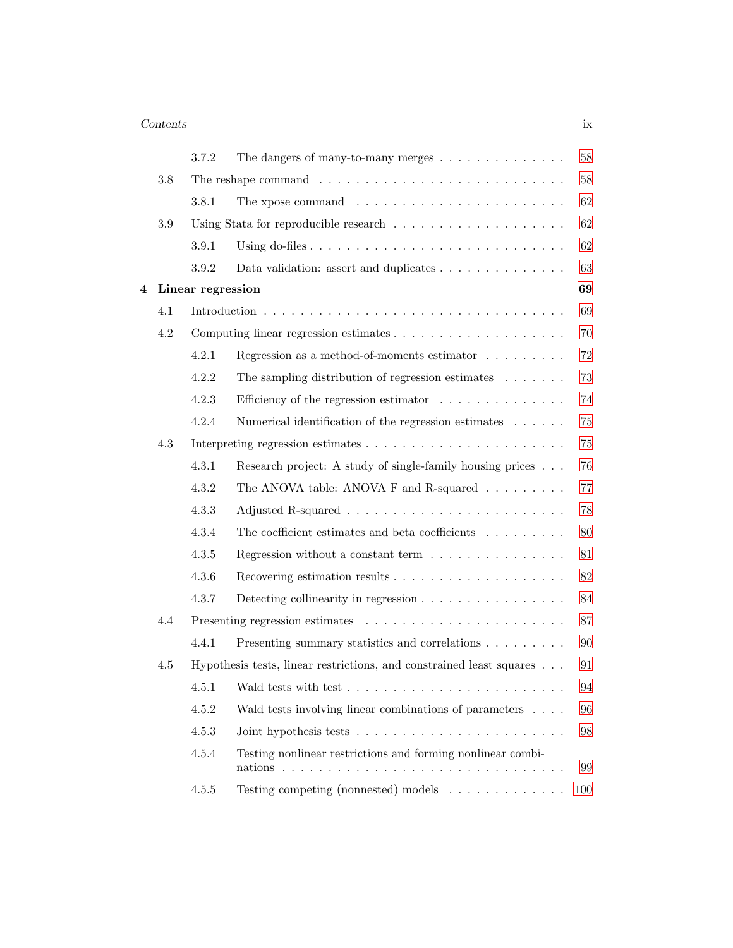## *Contents* ix

|   |     | 3.7.2             | The dangers of many-to-many merges                                               | $58\,$ |
|---|-----|-------------------|----------------------------------------------------------------------------------|--------|
|   | 3.8 |                   |                                                                                  | $58\,$ |
|   |     | 3.8.1             | The xpose command $\ldots \ldots \ldots \ldots \ldots \ldots \ldots$             | 62     |
|   | 3.9 |                   |                                                                                  | 62     |
|   |     | 3.9.1             |                                                                                  | $62\,$ |
|   |     | 3.9.2             | Data validation: assert and duplicates $\dots \dots \dots \dots \dots$           | 63     |
| 4 |     | Linear regression |                                                                                  | 69     |
|   | 4.1 |                   |                                                                                  | 69     |
|   | 4.2 |                   |                                                                                  | 70     |
|   |     | 4.2.1             | Regression as a method-of-moments estimator $\dots \dots$                        | $72\,$ |
|   |     | 4.2.2             | The sampling distribution of regression estimates $\ldots \ldots$                | 73     |
|   |     | 4.2.3             | Efficiency of the regression estimator $\ldots \ldots \ldots \ldots$             | 74     |
|   |     | 4.2.4             | Numerical identification of the regression estimates $\dots \dots$               | 75     |
|   | 4.3 |                   |                                                                                  |        |
|   |     | 4.3.1             | Research project: A study of single-family housing prices                        | $76\,$ |
|   |     | 4.3.2             | The ANOVA table: ANOVA F and R-squared $\ldots \ldots \ldots$                    | $77\,$ |
|   |     | 4.3.3             |                                                                                  | 78     |
|   |     | 4.3.4             | The coefficient estimates and beta coefficients $\hfill\ldots\ldots\ldots\ldots$ | 80     |
|   |     | 4.3.5             | Regression without a constant term $\dots \dots \dots \dots \dots$               | $81\,$ |
|   |     | 4.3.6             |                                                                                  | $82\,$ |
|   |     | 4.3.7             | Detecting collinearity in regression $\ldots \ldots \ldots \ldots \ldots$        | $84\,$ |
|   | 4.4 |                   |                                                                                  | $87\,$ |
|   |     | 4.4.1             | Presenting summary statistics and correlations                                   | 90     |
|   | 4.5 |                   | Hypothesis tests, linear restrictions, and constrained least squares             | 91     |
|   |     |                   |                                                                                  | $94\,$ |
|   |     | 4.5.2             | Wald tests involving linear combinations of parameters                           | 96     |
|   |     | 4.5.3             |                                                                                  | 98     |
|   |     | 4.5.4             | Testing nonlinear restrictions and forming nonlinear combi-                      | 99     |
|   |     | $4.5.5\,$         | Testing competing (nonnested) models                                             | 100    |
|   |     |                   |                                                                                  |        |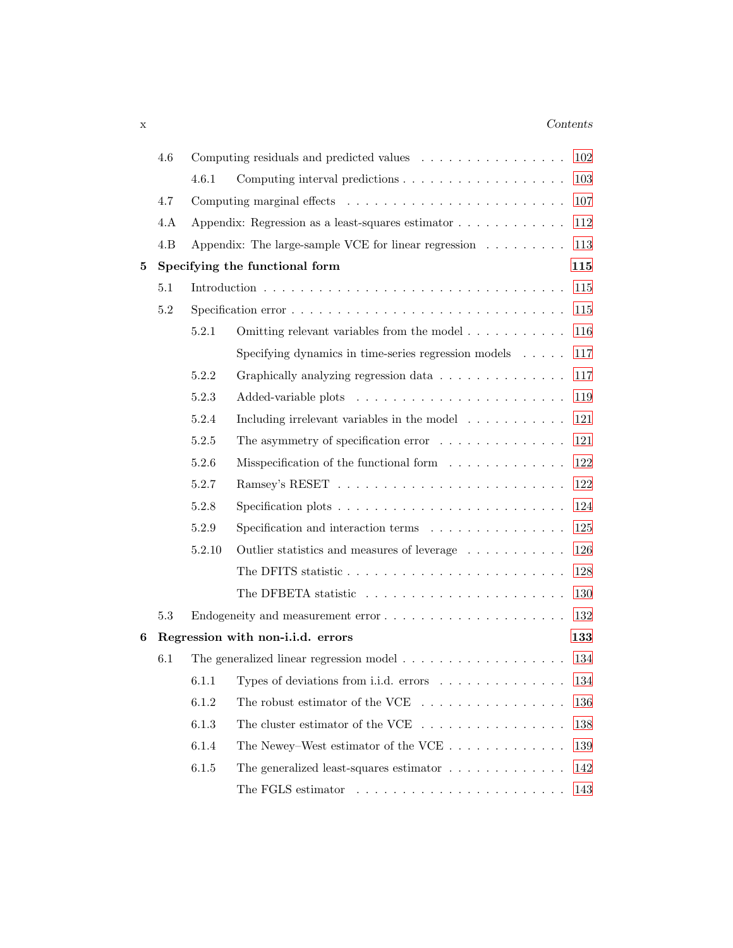## x *Contents*

|   | 4.6                                                                     |        | Computing residuals and predicted values                                 | 102 |
|---|-------------------------------------------------------------------------|--------|--------------------------------------------------------------------------|-----|
|   |                                                                         | 4.6.1  |                                                                          | 103 |
|   | 4.7                                                                     |        |                                                                          | 107 |
|   | 4.A                                                                     |        | Appendix: Regression as a least-squares estimator                        | 112 |
|   | 4.B                                                                     |        | Appendix: The large-sample VCE for linear regression $\dots \dots \dots$ | 113 |
| 5 |                                                                         |        | Specifying the functional form                                           | 115 |
|   | 5.1                                                                     |        |                                                                          | 115 |
|   | $5.2\,$                                                                 |        |                                                                          | 115 |
|   |                                                                         | 5.2.1  | Omitting relevant variables from the model $\dots \dots \dots$           | 116 |
|   |                                                                         |        | Specifying dynamics in time-series regression models                     | 117 |
|   |                                                                         | 5.2.2  | Graphically analyzing regression data                                    | 117 |
|   |                                                                         | 5.2.3  |                                                                          | 119 |
|   |                                                                         | 5.2.4  | Including irrelevant variables in the model $\ldots \ldots \ldots$       | 121 |
|   | 5.2.5<br>The asymmetry of specification error $\dots \dots \dots \dots$ |        |                                                                          |     |
|   |                                                                         | 5.2.6  | Misspecification of the functional form $\dots \dots \dots \dots$        | 122 |
|   |                                                                         | 5.2.7  |                                                                          | 122 |
|   |                                                                         | 5.2.8  |                                                                          | 124 |
|   |                                                                         | 5.2.9  | Specification and interaction terms $\ldots \ldots \ldots \ldots \ldots$ | 125 |
|   |                                                                         | 5.2.10 | Outlier statistics and measures of leverage                              | 126 |
|   |                                                                         |        | The DFITS statistic                                                      | 128 |
|   |                                                                         |        |                                                                          | 130 |
|   | 5.3                                                                     |        | Endogeneity and measurement error                                        | 132 |
| 6 |                                                                         |        | Regression with non-i.i.d. errors                                        | 133 |
|   | 6.1                                                                     |        |                                                                          | 134 |
|   |                                                                         | 6.1.1  | Types of deviations from i.i.d. errors $\dots \dots \dots \dots$         | 134 |
|   |                                                                         | 6.1.2  | The robust estimator of the VCE $\ldots$ ,                               | 136 |
|   |                                                                         | 6.1.3  | The cluster estimator of the VCE $\ldots \ldots \ldots \ldots \ldots$    | 138 |
|   |                                                                         | 6.1.4  | The Newey–West estimator of the VCE $\dots \dots \dots \dots$            | 139 |
|   |                                                                         | 6.1.5  | The generalized least-squares estimator $\ldots \ldots \ldots \ldots$    | 142 |
|   |                                                                         |        |                                                                          | 143 |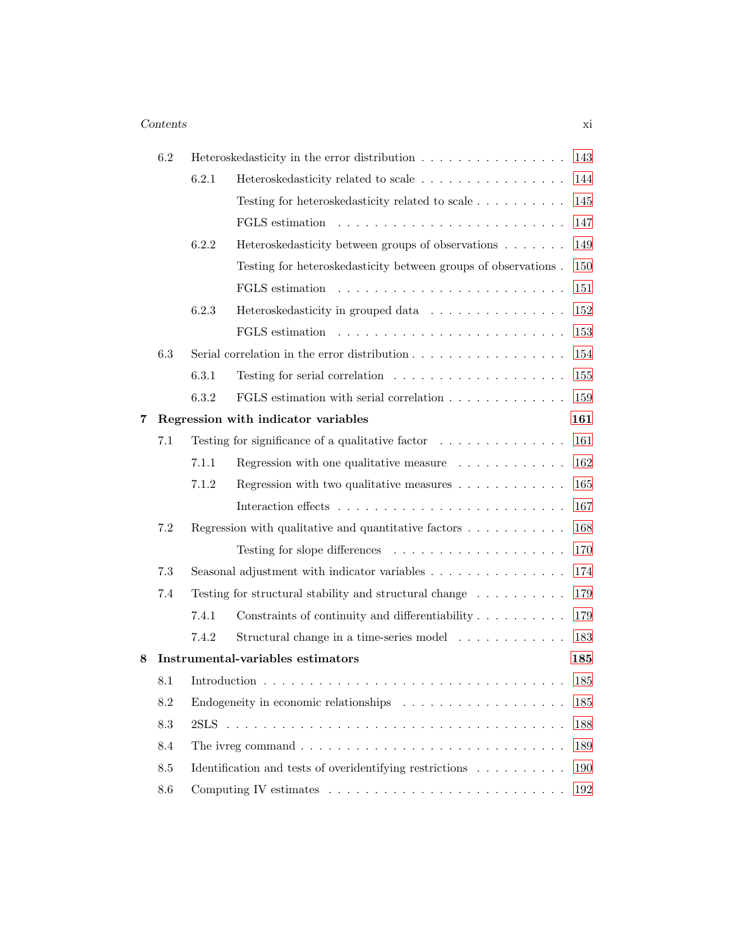## *Contents* xi

|   | 6.2             |       | Heteroskedasticity in the error distribution                                              | 143 |
|---|-----------------|-------|-------------------------------------------------------------------------------------------|-----|
|   |                 | 6.2.1 | Heteroskedasticity related to scale                                                       | 144 |
|   |                 |       | Testing for heteroskedasticity related to scale                                           | 145 |
|   |                 |       | FGLS estimation                                                                           | 147 |
|   |                 | 6.2.2 | Heteroskedasticity between groups of observations                                         | 149 |
|   |                 |       | Testing for heteroskedasticity between groups of observations.                            | 150 |
|   |                 |       |                                                                                           | 151 |
|   |                 | 6.2.3 | Heteroskedasticity in grouped data                                                        | 152 |
|   |                 |       |                                                                                           | 153 |
|   | 6.3             |       | Serial correlation in the error distribution $\ldots \ldots \ldots \ldots \ldots$         | 154 |
|   |                 | 6.3.1 | Testing for serial correlation $\ldots \ldots \ldots \ldots \ldots \ldots$                | 155 |
|   |                 | 6.3.2 |                                                                                           | 159 |
| 7 |                 |       | Regression with indicator variables                                                       | 161 |
|   | 7.1             |       | Testing for significance of a qualitative factor $\ldots \ldots \ldots \ldots$            | 161 |
|   |                 | 7.1.1 | Regression with one qualitative measure $\ldots \ldots \ldots$                            | 162 |
|   |                 | 7.1.2 | Regression with two qualitative measures $\dots \dots \dots \dots$                        | 165 |
|   |                 |       |                                                                                           | 167 |
|   | $7.2\,$         |       |                                                                                           | 168 |
|   |                 |       |                                                                                           | 170 |
|   | 7.3             |       | Seasonal adjustment with indicator variables                                              | 174 |
|   | 7.4             |       | Testing for structural stability and structural change $\ldots \ldots \ldots$             | 179 |
|   |                 | 7.4.1 | Constraints of continuity and differentiability $\ldots \ldots \ldots$                    | 179 |
|   |                 | 7.4.2 | Structural change in a time-series model                                                  | 183 |
| 8 |                 |       | <b>Instrumental-variables estimators</b>                                                  | 185 |
|   | 8.1             |       |                                                                                           | 185 |
|   | 8.2             |       | Endogeneity in economic relationships $\ldots \ldots \ldots \ldots \ldots \ldots$         | 185 |
|   | 8.3             |       |                                                                                           | 188 |
|   | 8.4             |       | The ivreg command $\ldots \ldots \ldots \ldots \ldots \ldots \ldots \ldots \ldots \ldots$ | 189 |
|   | $\!\!\!\!\!8.5$ |       | Identification and tests of overidentifying restrictions                                  | 190 |
|   | 8.6             |       |                                                                                           | 192 |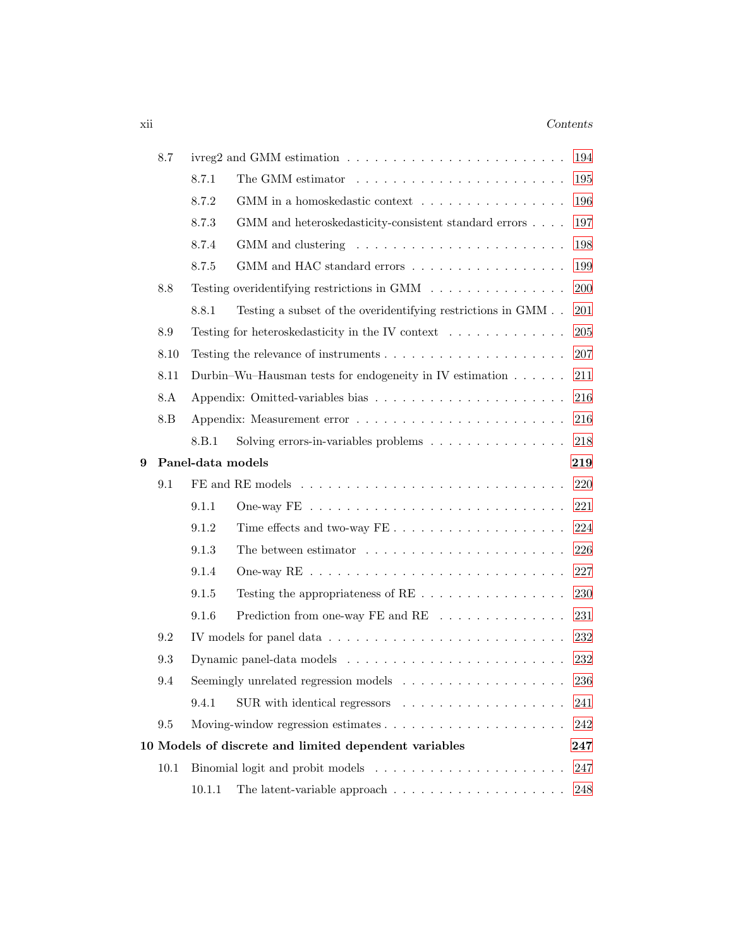## xii *Contents*

|   | 8.7  | ivreg2 and GMM estimation $\ldots \ldots \ldots \ldots \ldots \ldots \ldots \ldots$<br>194 |                                                                                            |     |  |  |  |
|---|------|--------------------------------------------------------------------------------------------|--------------------------------------------------------------------------------------------|-----|--|--|--|
|   |      | 8.7.1                                                                                      | The GMM estimator $\dots \dots \dots \dots \dots \dots \dots \dots \dots$                  | 195 |  |  |  |
|   |      | 8.7.2                                                                                      | GMM in a homoskedastic context $\ldots \ldots \ldots \ldots \ldots$                        | 196 |  |  |  |
|   |      | 8.7.3                                                                                      | GMM and heteroskedasticity-consistent standard errors $\ldots$ .                           | 197 |  |  |  |
|   |      | 8.7.4                                                                                      |                                                                                            | 198 |  |  |  |
|   |      | 8.7.5                                                                                      | GMM and HAC standard errors $\hfill\ldots\ldots\ldots\ldots\ldots\ldots\ldots\ldots\ldots$ | 199 |  |  |  |
|   | 8.8  |                                                                                            | Testing overidentifying restrictions in GMM $\ldots \ldots \ldots \ldots \ldots$           | 200 |  |  |  |
|   |      | 8.8.1                                                                                      | Testing a subset of the overidentifying restrictions in<br>$\mathit{GMM}$ .<br>.           | 201 |  |  |  |
|   | 8.9  |                                                                                            | Testing for heteroskedasticity in the IV context                                           | 205 |  |  |  |
|   | 8.10 |                                                                                            |                                                                                            | 207 |  |  |  |
|   | 8.11 |                                                                                            | Durbin-Wu-Hausman tests for endogeneity in IV estimation                                   | 211 |  |  |  |
|   | 8.A  |                                                                                            |                                                                                            | 216 |  |  |  |
|   | 8.B  |                                                                                            |                                                                                            | 216 |  |  |  |
|   |      | 8.B.1                                                                                      | Solving errors-in-variables problems $\ldots \ldots \ldots \ldots \ldots$                  | 218 |  |  |  |
| 9 |      | Panel-data models                                                                          |                                                                                            | 219 |  |  |  |
|   | 9.1  |                                                                                            |                                                                                            | 220 |  |  |  |
|   |      | 9.1.1                                                                                      |                                                                                            | 221 |  |  |  |
|   |      | 9.1.2                                                                                      | Time effects and two-way $FE \ldots \ldots \ldots \ldots \ldots \ldots$                    | 224 |  |  |  |
|   |      | 9.1.3                                                                                      | The between estimator $\dots \dots \dots \dots \dots \dots \dots \dots$                    | 226 |  |  |  |
|   |      | 9.1.4                                                                                      |                                                                                            | 227 |  |  |  |
|   |      | 9.1.5                                                                                      |                                                                                            | 230 |  |  |  |
|   |      | 9.1.6                                                                                      | Prediction from one-way FE and RE $\dots \dots \dots \dots \dots$                          | 231 |  |  |  |
|   | 9.2  |                                                                                            | IV models for panel data $\ldots \ldots \ldots \ldots \ldots \ldots \ldots \ldots$         | 232 |  |  |  |
|   | 9.3  |                                                                                            |                                                                                            | 232 |  |  |  |
|   | 9.4  |                                                                                            | Seemingly unrelated regression models $\dots \dots \dots \dots \dots \dots$                | 236 |  |  |  |
|   |      | 9.4.1                                                                                      | $SUB$ with identical regressors $\ldots \ldots \ldots \ldots \ldots$                       | 241 |  |  |  |
|   | 9.5  |                                                                                            |                                                                                            | 242 |  |  |  |
|   |      |                                                                                            | 10 Models of discrete and limited dependent variables                                      | 247 |  |  |  |
|   | 10.1 |                                                                                            |                                                                                            | 247 |  |  |  |
|   |      | 10.1.1                                                                                     | The latent-variable approach $\dots \dots \dots \dots \dots \dots \dots$                   | 248 |  |  |  |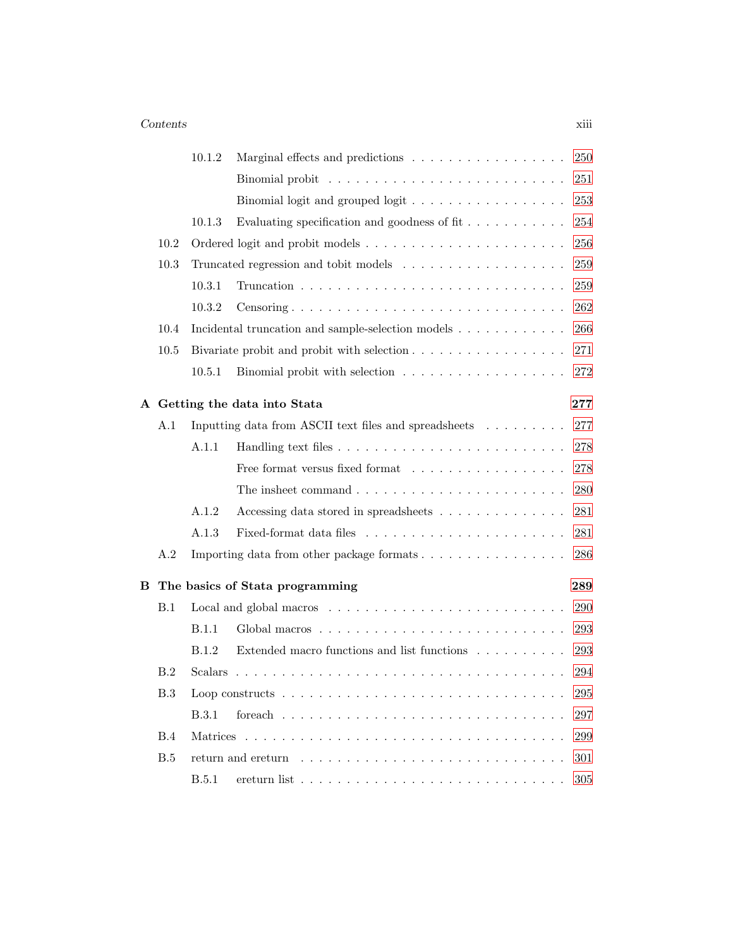### *Contents* xiii

|   |      | 10.1.2       | 250<br>Marginal effects and predictions                                                        |
|---|------|--------------|------------------------------------------------------------------------------------------------|
|   |      |              | 251                                                                                            |
|   |      |              | 253<br>Binomial logit and grouped logit $\ldots \ldots \ldots \ldots \ldots$                   |
|   |      | 10.1.3       | Evaluating specification and goodness of fit $\dots \dots \dots$<br>254                        |
|   | 10.2 |              | 256                                                                                            |
|   | 10.3 |              | 259                                                                                            |
|   |      | 10.3.1       | 259                                                                                            |
|   |      | 10.3.2       | 262<br>Censoring                                                                               |
|   | 10.4 |              | 266<br>Incidental truncation and sample-selection models $\dots \dots \dots \dots$             |
|   | 10.5 |              | Bivariate probit and probit with selection<br>271                                              |
|   |      | 10.5.1       | Binomial probit with selection $\ldots \ldots \ldots \ldots \ldots \ldots$<br>272              |
|   |      |              | A Getting the data into Stata<br>277                                                           |
|   | A.1  |              | 277<br>Inputting data from ASCII text files and spreadsheets                                   |
|   |      | A.1.1        | 278                                                                                            |
|   |      |              | 278<br>Free format versus fixed format                                                         |
|   |      |              | The insheet command $\ldots \ldots \ldots \ldots \ldots \ldots \ldots \ldots$<br>280           |
|   |      | A.1.2        | 281<br>Accessing data stored in spreadsheets $\ldots \ldots \ldots \ldots$                     |
|   |      | A.1.3        | 281                                                                                            |
|   | A.2  |              | Importing data from other package formats<br>286                                               |
| В |      |              | 289<br>The basics of Stata programming                                                         |
|   | B.1  |              | 290                                                                                            |
|   |      | B.1.1        | 293                                                                                            |
|   |      | B.1.2        | Extended macro functions and list functions<br>293                                             |
|   | B.2  |              | 294                                                                                            |
|   | B.3  |              | Loop constructs $\ldots \ldots \ldots \ldots \ldots \ldots \ldots \ldots \ldots \ldots$<br>295 |
|   |      | <b>B.3.1</b> | 297                                                                                            |
|   | B.4  |              | 299                                                                                            |
|   | B.5  |              | 301                                                                                            |
|   |      | <b>B.5.1</b> | 305<br>ereturn list $\ldots \ldots \ldots \ldots \ldots \ldots \ldots \ldots \ldots \ldots$    |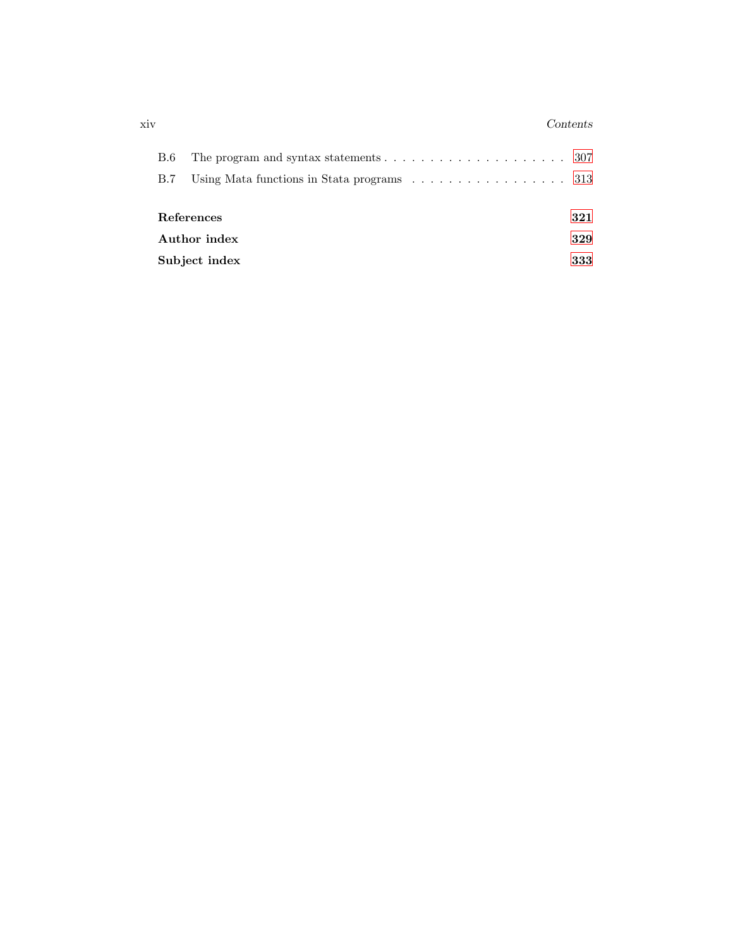### xiv *Contents*

| <b>B.6</b>           | The program and syntax statements $\ldots \ldots \ldots \ldots \ldots \ldots \ldots 307$ |  |  |  |  |  |
|----------------------|------------------------------------------------------------------------------------------|--|--|--|--|--|
| B.7                  | Using Mata functions in State programs $\dots \dots \dots \dots \dots \dots \dots$ 313   |  |  |  |  |  |
|                      |                                                                                          |  |  |  |  |  |
| References<br>321    |                                                                                          |  |  |  |  |  |
| Author index         |                                                                                          |  |  |  |  |  |
| Subject index<br>333 |                                                                                          |  |  |  |  |  |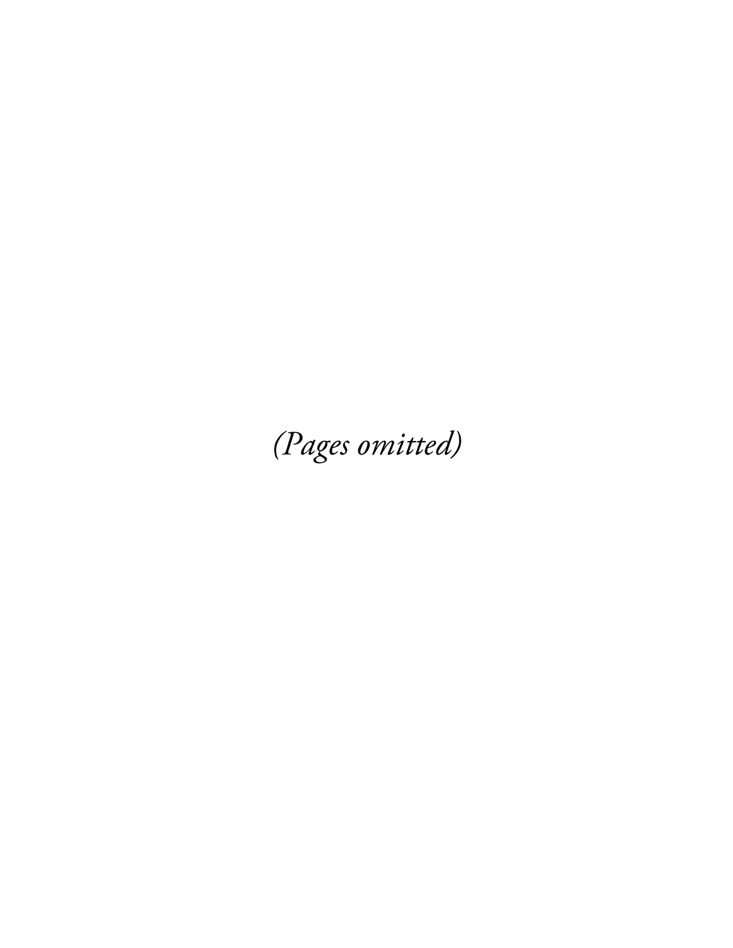(Pages omitted)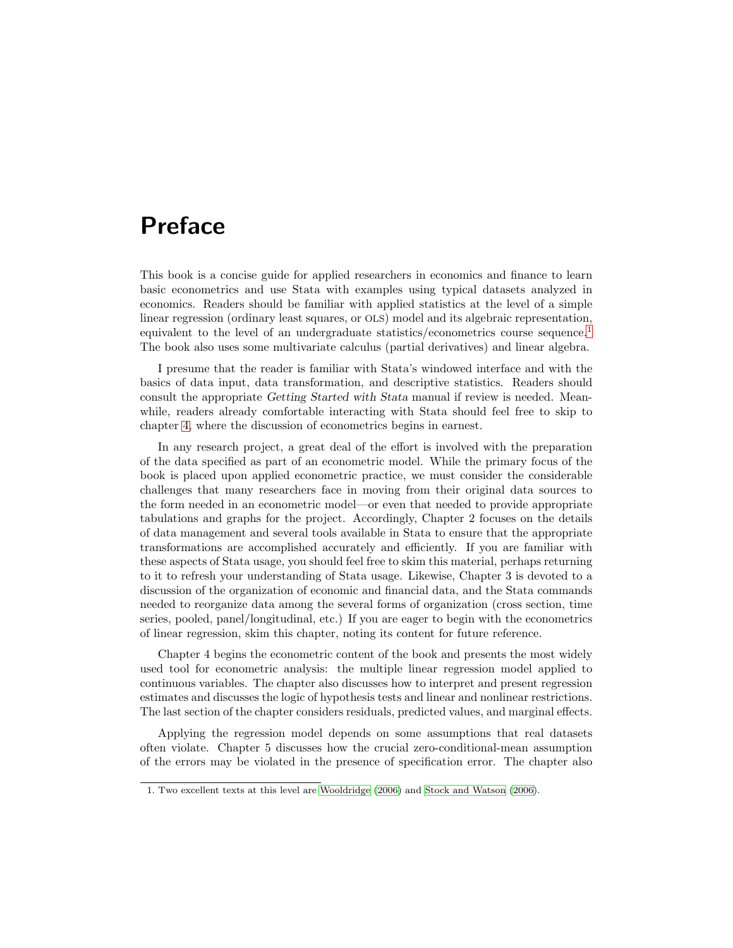## Preface

This book is a concise guide for applied researchers in economics and finance to learn basic econometrics and use Stata with examples using typical datasets analyzed in economics. Readers should be familiar with applied statistics at the level of a simple linear regression (ordinary least squares, or OLS) model and its algebraic representation, equivalent to the level of an undergraduate statistics/econometrics course sequence.<sup>1</sup> The book also uses some multivariate calculus (partial derivatives) and linear algebra.

I presume that the reader is familiar with Stata's windowed interface and with the basics of data input, data transformation, and descriptive statistics. Readers should consult the appropriate *Getting Started with Stata* manual if review is needed. Meanwhile, readers already comfortable interacting with Stata should feel free to skip to chapter 4, where the discussion of econometrics begins in earnest.

In any research project, a great deal of the effort is involved with the preparation of the data specified as part of an econometric model. While the primary focus of the book is placed upon applied econometric practice, we must consider the considerable challenges that many researchers face in moving from their original data sources to the form needed in an econometric model—or even that needed to provide appropriate tabulations and graphs for the project. Accordingly, Chapter 2 focuses on the details of data management and several tools available in Stata to ensure that the appropriate transformations are accomplished accurately and efficiently. If you are familiar with these aspects of Stata usage, you should feel free to skim this material, perhaps returning to it to refresh your understanding of Stata usage. Likewise, Chapter 3 is devoted to a discussion of the organization of economic and financial data, and the Stata commands needed to reorganize data among the several forms of organization (cross section, time series, pooled, panel/longitudinal, etc.) If you are eager to begin with the econometrics of linear regression, skim this chapter, noting its content for future reference.

Chapter 4 begins the econometric content of the book and presents the most widely used tool for econometric analysis: the multiple linear regression model applied to continuous variables. The chapter also discusses how to interpret and present regression estimates and discusses the logic of hypothesis tests and linear and nonlinear restrictions. The last section of the chapter considers residuals, predicted values, and marginal effects.

Applying the regression model depends on some assumptions that real datasets often violate. Chapter 5 discusses how the crucial zero-conditional-mean assumption of the errors may be violated in the presence of specification error. The chapter also

<sup>1.</sup> Two excellent texts at this level are Wooldridge (2006) and Stock and Watson (2006).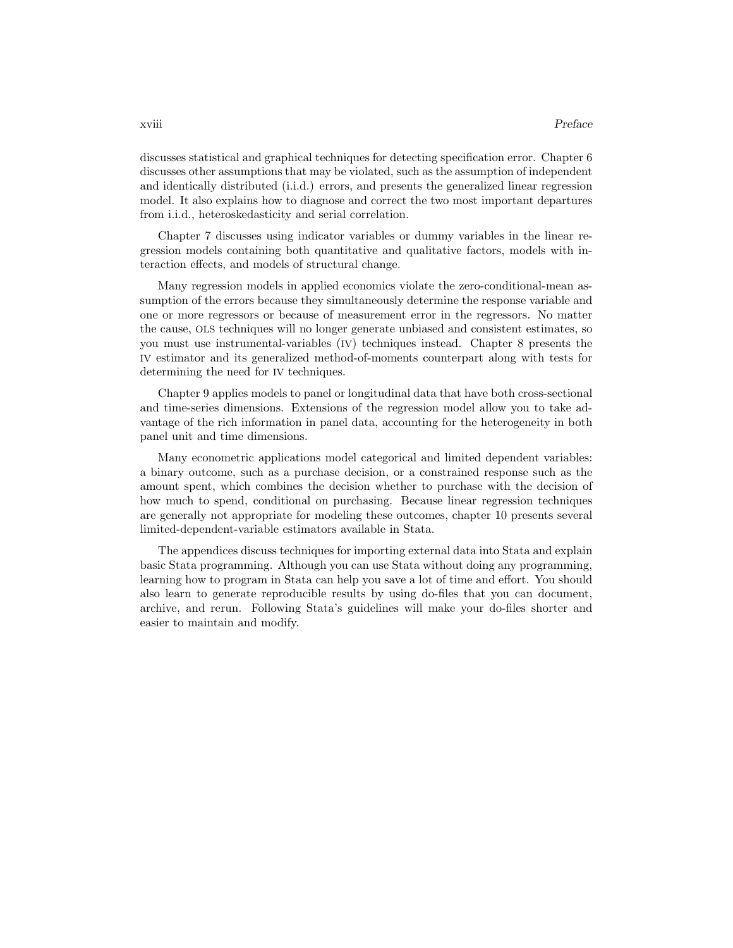discusses statistical and graphical techniques for detecting specification error. Chapter 6 discusses other assumptions that may be violated, such as the assumption of independent and identically distributed (i.i.d.) errors, and presents the generalized linear regression model. It also explains how to diagnose and correct the two most important departures from i.i.d., heteroskedasticity and serial correlation.

Chapter 7 discusses using indicator variables or dummy variables in the linear regression models containing both quantitative and qualitative factors, models with interaction effects, and models of structural change.

Many regression models in applied economics violate the zero-conditional-mean assumption of the errors because they simultaneously determine the response variable and one or more regressors or because of measurement error in the regressors. No matter the cause, OLS techniques will no longer generate unbiased and consistent estimates, so you must use instrumental-variables (IV) techniques instead. Chapter 8 presents the IV estimator and its generalized method-of-moments counterpart along with tests for determining the need for IV techniques.

Chapter 9 applies models to panel or longitudinal data that have both cross-sectional and time-series dimensions. Extensions of the regression model allow you to take advantage of the rich information in panel data, accounting for the heterogeneity in both panel unit and time dimensions.

Many econometric applications model categorical and limited dependent variables: a binary outcome, such as a purchase decision, or a constrained response such as the amount spent, which combines the decision whether to purchase with the decision of how much to spend, conditional on purchasing. Because linear regression techniques are generally not appropriate for modeling these outcomes, chapter 10 presents several limited-dependent-variable estimators available in Stata.

The appendices discuss techniques for importing external data into Stata and explain basic Stata programming. Although you can use Stata without doing any programming, learning how to program in Stata can help you save a lot of time and effort. You should also learn to generate reproducible results by using do-files that you can document, archive, and rerun. Following Stata's guidelines will make your do-files shorter and easier to maintain and modify.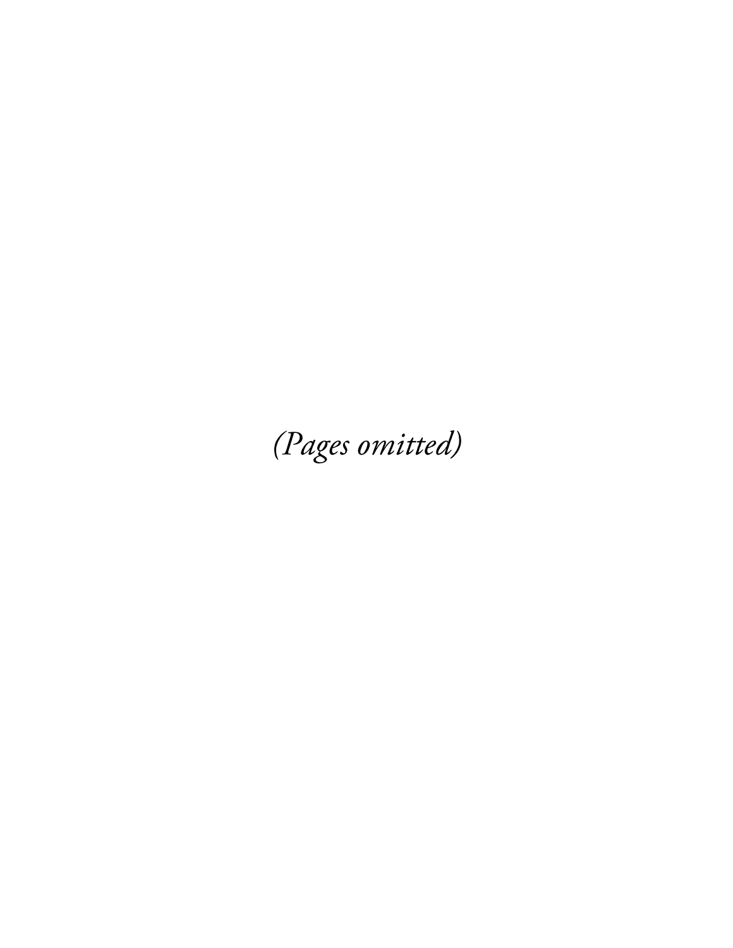(Pages omitted)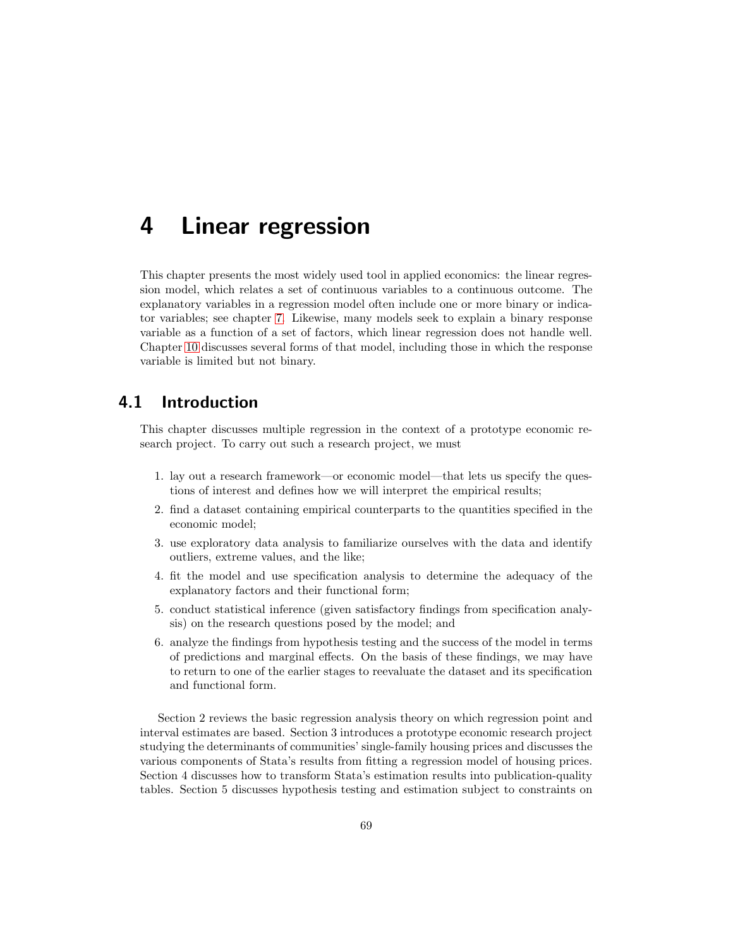## 4 Linear regression

This chapter presents the most widely used tool in applied economics: the linear regression model, which relates a set of continuous variables to a continuous outcome. The explanatory variables in a regression model often include one or more binary or indicator variables; see chapter 7. Likewise, many models seek to explain a binary response variable as a function of a set of factors, which linear regression does not handle well. Chapter 10 discusses several forms of that model, including those in which the response variable is limited but not binary.

## 4.1 Introduction

This chapter discusses multiple regression in the context of a prototype economic research project. To carry out such a research project, we must

- 1. lay out a research framework—or economic model—that lets us specify the questions of interest and defines how we will interpret the empirical results;
- 2. find a dataset containing empirical counterparts to the quantities specified in the economic model;
- 3. use exploratory data analysis to familiarize ourselves with the data and identify outliers, extreme values, and the like;
- 4. fit the model and use specification analysis to determine the adequacy of the explanatory factors and their functional form;
- 5. conduct statistical inference (given satisfactory findings from specification analysis) on the research questions posed by the model; and
- 6. analyze the findings from hypothesis testing and the success of the model in terms of predictions and marginal effects. On the basis of these findings, we may have to return to one of the earlier stages to reevaluate the dataset and its specification and functional form.

Section 2 reviews the basic regression analysis theory on which regression point and interval estimates are based. Section 3 introduces a prototype economic research project studying the determinants of communities' single-family housing prices and discusses the various components of Stata's results from fitting a regression model of housing prices. Section 4 discusses how to transform Stata's estimation results into publication-quality tables. Section 5 discusses hypothesis testing and estimation subject to constraints on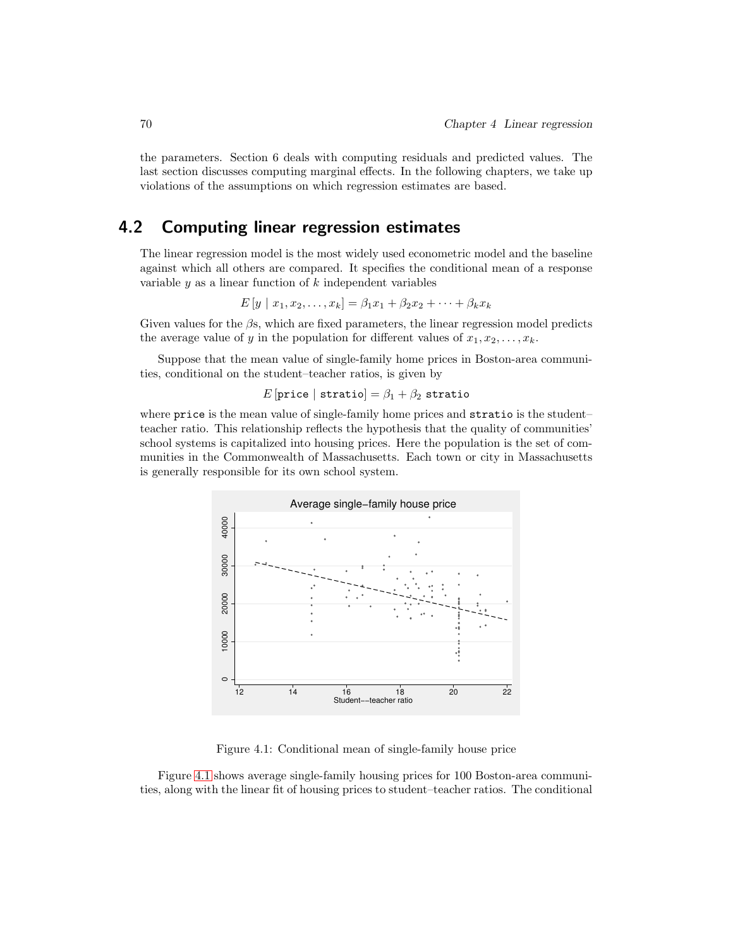the parameters. Section 6 deals with computing residuals and predicted values. The last section discusses computing marginal effects. In the following chapters, we take up violations of the assumptions on which regression estimates are based.

## 4.2 Computing linear regression estimates

The linear regression model is the most widely used econometric model and the baseline against which all others are compared. It specifies the conditional mean of a response variable  $y$  as a linear function of  $k$  independent variables

$$
E[y \mid x_1, x_2, \dots, x_k] = \beta_1 x_1 + \beta_2 x_2 + \dots + \beta_k x_k
$$

Given values for the  $\beta$ s, which are fixed parameters, the linear regression model predicts the average value of y in the population for different values of  $x_1, x_2, \ldots, x_k$ .

Suppose that the mean value of single-family home prices in Boston-area communities, conditional on the student–teacher ratios, is given by

E [price | stratio] =  $\beta_1 + \beta_2$  stratio

where price is the mean value of single-family home prices and stratio is the student– teacher ratio. This relationship reflects the hypothesis that the quality of communities' school systems is capitalized into housing prices. Here the population is the set of communities in the Commonwealth of Massachusetts. Each town or city in Massachusetts is generally responsible for its own school system.



Figure 4.1: Conditional mean of single-family house price

Figure 4.1 shows average single-family housing prices for 100 Boston-area communities, along with the linear fit of housing prices to student–teacher ratios. The conditional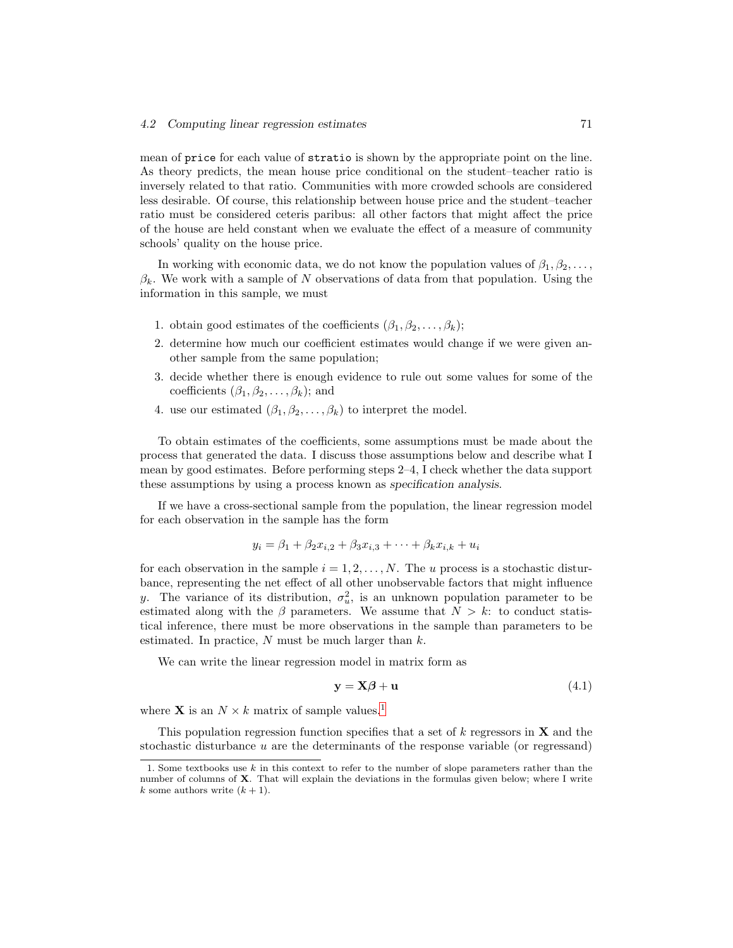mean of price for each value of stratio is shown by the appropriate point on the line. As theory predicts, the mean house price conditional on the student–teacher ratio is inversely related to that ratio. Communities with more crowded schools are considered less desirable. Of course, this relationship between house price and the student–teacher ratio must be considered ceteris paribus: all other factors that might affect the price of the house are held constant when we evaluate the effect of a measure of community schools' quality on the house price.

In working with economic data, we do not know the population values of  $\beta_1, \beta_2, \ldots$ ,  $\beta_k$ . We work with a sample of N observations of data from that population. Using the information in this sample, we must

- 1. obtain good estimates of the coefficients  $(\beta_1, \beta_2, \ldots, \beta_k)$ ;
- 2. determine how much our coefficient estimates would change if we were given another sample from the same population;
- 3. decide whether there is enough evidence to rule out some values for some of the coefficients  $(\beta_1, \beta_2, \ldots, \beta_k)$ ; and
- 4. use our estimated  $(\beta_1, \beta_2, \ldots, \beta_k)$  to interpret the model.

To obtain estimates of the coefficients, some assumptions must be made about the process that generated the data. I discuss those assumptions below and describe what I mean by good estimates. Before performing steps 2–4, I check whether the data support these assumptions by using a process known as *specification analysis*.

If we have a cross-sectional sample from the population, the linear regression model for each observation in the sample has the form

$$
y_i = \beta_1 + \beta_2 x_{i,2} + \beta_3 x_{i,3} + \dots + \beta_k x_{i,k} + u_i
$$

for each observation in the sample  $i = 1, 2, \ldots, N$ . The u process is a stochastic disturbance, representing the net effect of all other unobservable factors that might influence y. The variance of its distribution,  $\sigma_u^2$ , is an unknown population parameter to be estimated along with the  $\beta$  parameters. We assume that  $N > k$ : to conduct statistical inference, there must be more observations in the sample than parameters to be estimated. In practice,  $N$  must be much larger than  $k$ .

We can write the linear regression model in matrix form as

$$
y = X\beta + u \tag{4.1}
$$

where **X** is an  $N \times k$  matrix of sample values.<sup>1</sup>

This population regression function specifies that a set of  $k$  regressors in  $X$  and the stochastic disturbance u are the determinants of the response variable (or regressand)

<sup>1.</sup> Some textbooks use k in this context to refer to the number of slope parameters rather than the number of columns of **X**. That will explain the deviations in the formulas given below; where I write k some authors write  $(k + 1)$ .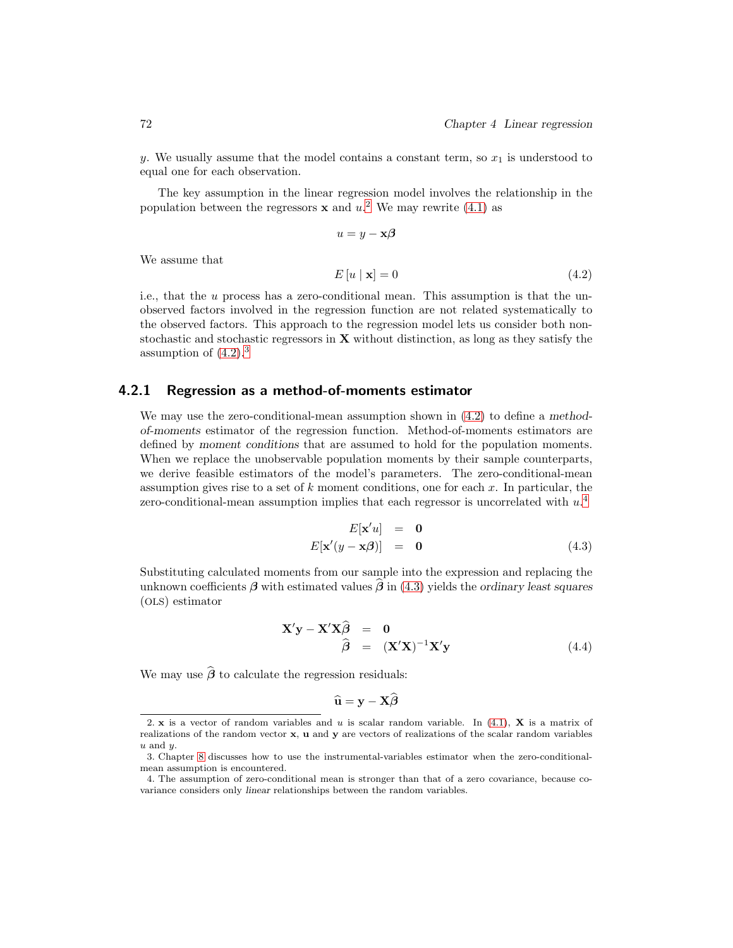y. We usually assume that the model contains a constant term, so  $x_1$  is understood to equal one for each observation.

The key assumption in the linear regression model involves the relationship in the population between the regressors **x** and  $u^2$ . We may rewrite (4.1) as

$$
u = y - \mathbf{x}\boldsymbol{\beta}
$$

$$
E[u \mid \mathbf{x}] = 0 \tag{4.2}
$$

i.e., that the u process has a zero-conditional mean. This assumption is that the unobserved factors involved in the regression function are not related systematically to the observed factors. This approach to the regression model lets us consider both nonstochastic and stochastic regressors in X without distinction, as long as they satisfy the assumption of  $(4.2).<sup>3</sup>$ 

### 4.2.1 Regression as a method-of-moments estimator

We may use the zero-conditional-mean assumption shown in (4.2) to define a *methodof-moments* estimator of the regression function. Method-of-moments estimators are defined by *moment conditions* that are assumed to hold for the population moments. When we replace the unobservable population moments by their sample counterparts, we derive feasible estimators of the model's parameters. The zero-conditional-mean assumption gives rise to a set of  $k$  moment conditions, one for each  $x$ . In particular, the zero-conditional-mean assumption implies that each regressor is uncorrelated with  $u^A$ 

$$
E[\mathbf{x}'u] = \mathbf{0}
$$
  

$$
E[\mathbf{x}'(y - \mathbf{x}\boldsymbol{\beta})] = \mathbf{0}
$$
 (4.3)

Substituting calculated moments from our sample into the expression and replacing the unknown coefficients  $\beta$  with estimated values  $\beta$  in (4.3) yields the *ordinary least squares* (OLS) estimator

$$
\mathbf{X}'\mathbf{y} - \mathbf{X}'\mathbf{X}\widehat{\boldsymbol{\beta}} = \mathbf{0} \n\widehat{\boldsymbol{\beta}} = (\mathbf{X}'\mathbf{X})^{-1}\mathbf{X}'\mathbf{y}
$$
\n(4.4)

We may use  $\widehat{\boldsymbol{\beta}}$  to calculate the regression residuals:

$$
\widehat{\mathbf{u}} = \mathbf{y} - \mathbf{X}\widehat{\boldsymbol{\beta}}
$$

We assume that

<sup>2.</sup> x is a vector of random variables and u is scalar random variable. In (4.1), X is a matrix of realizations of the random vector x, u and y are vectors of realizations of the scalar random variables  $u$  and  $u$ .

<sup>3.</sup> Chapter 8 discusses how to use the instrumental-variables estimator when the zero-conditionalmean assumption is encountered.

<sup>4.</sup> The assumption of zero-conditional mean is stronger than that of a zero covariance, because covariance considers only linear relationships between the random variables.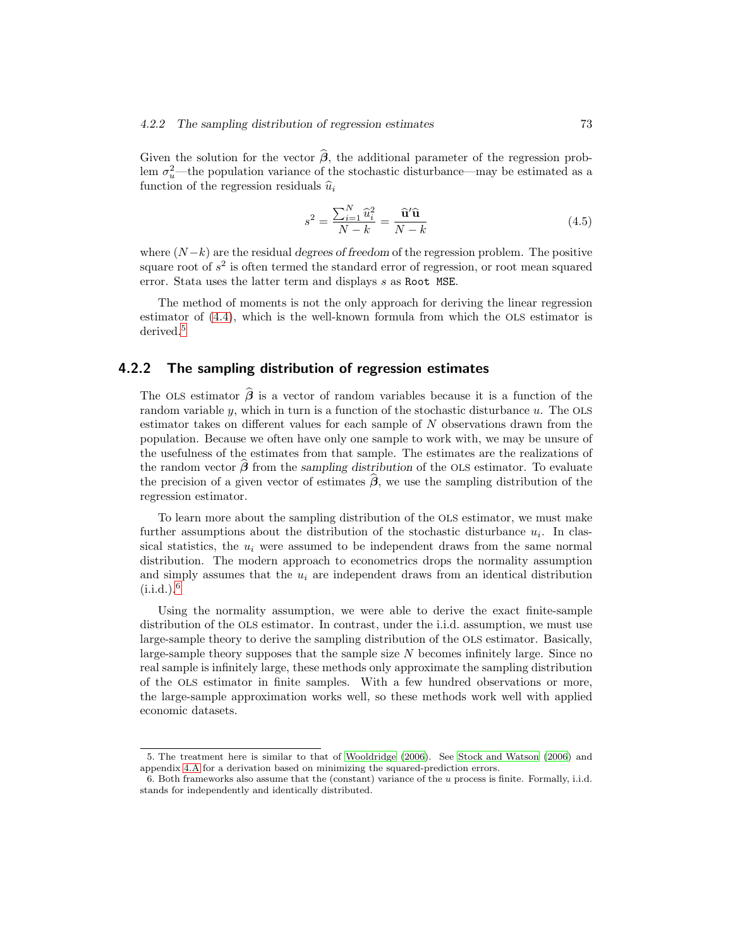Given the solution for the vector  $\hat{\beta}$ , the additional parameter of the regression problem  $\sigma_u^2$ —the population variance of the stochastic disturbance—may be estimated as a function of the regression residuals  $\hat{u}_i$ 

$$
s^2 = \frac{\sum_{i=1}^{N} \hat{u}_i^2}{N - k} = \frac{\hat{\mathbf{u}}'\hat{\mathbf{u}}}{N - k}
$$
(4.5)

where  $(N-k)$  are the residual *degrees of freedom* of the regression problem. The positive square root of  $s^2$  is often termed the standard error of regression, or root mean squared error. Stata uses the latter term and displays s as Root MSE.

The method of moments is not the only approach for deriving the linear regression estimator of (4.4), which is the well-known formula from which the OLS estimator is derived.<sup>5</sup>

## 4.2.2 The sampling distribution of regression estimates

The OLS estimator  $\hat{\boldsymbol{\beta}}$  is a vector of random variables because it is a function of the random variable  $y$ , which in turn is a function of the stochastic disturbance  $u$ . The OLS estimator takes on different values for each sample of  $N$  observations drawn from the population. Because we often have only one sample to work with, we may be unsure of the usefulness of the estimates from that sample. The estimates are the realizations of the random vector  $\hat{\beta}$  from the *sampling distribution* of the OLS estimator. To evaluate the precision of a given vector of estimates  $\hat{\boldsymbol{\beta}}$ , we use the sampling distribution of the regression estimator.

To learn more about the sampling distribution of the OLS estimator, we must make further assumptions about the distribution of the stochastic disturbance  $u_i$ . In classical statistics, the  $u_i$  were assumed to be independent draws from the same normal distribution. The modern approach to econometrics drops the normality assumption and simply assumes that the  $u_i$  are independent draws from an identical distribution  $(i.i.d.)$ .<sup>6</sup>

Using the normality assumption, we were able to derive the exact finite-sample distribution of the OLS estimator. In contrast, under the i.i.d. assumption, we must use large-sample theory to derive the sampling distribution of the OLS estimator. Basically, large-sample theory supposes that the sample size  $N$  becomes infinitely large. Since no real sample is infinitely large, these methods only approximate the sampling distribution of the OLS estimator in finite samples. With a few hundred observations or more, the large-sample approximation works well, so these methods work well with applied economic datasets.

<sup>5.</sup> The treatment here is similar to that of Wooldridge (2006). See Stock and Watson (2006) and appendix 4.A for a derivation based on minimizing the squared-prediction errors.

<sup>6.</sup> Both frameworks also assume that the (constant) variance of the u process is finite. Formally, i.i.d. stands for independently and identically distributed.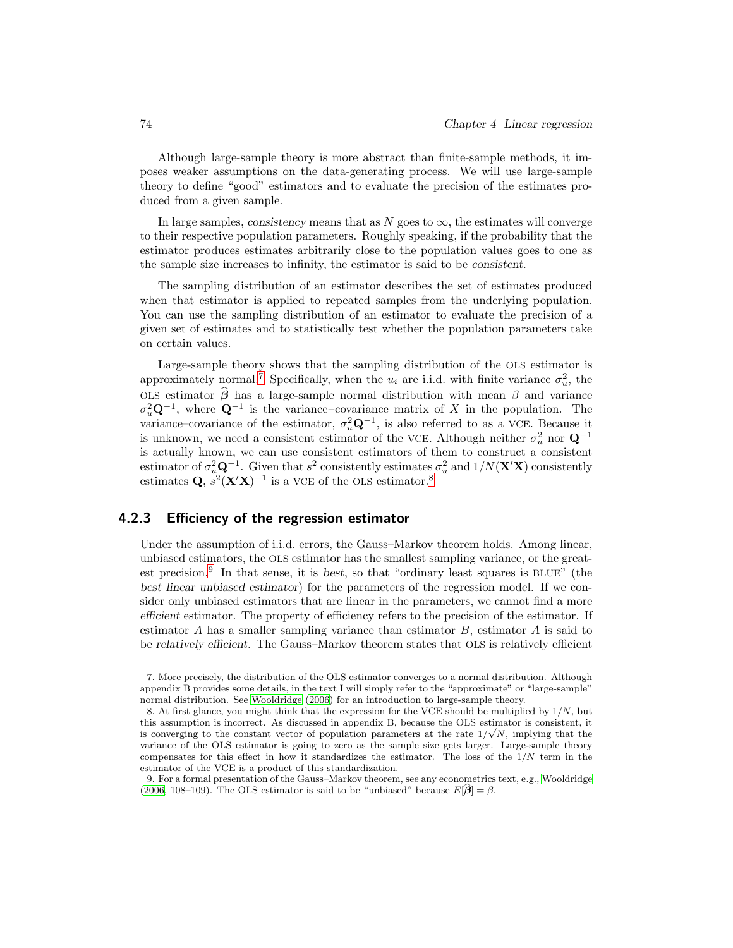Although large-sample theory is more abstract than finite-sample methods, it imposes weaker assumptions on the data-generating process. We will use large-sample theory to define "good" estimators and to evaluate the precision of the estimates produced from a given sample.

In large samples, *consistency* means that as  $N$  goes to  $\infty$ , the estimates will converge to their respective population parameters. Roughly speaking, if the probability that the estimator produces estimates arbitrarily close to the population values goes to one as the sample size increases to infinity, the estimator is said to be *consistent*.

The sampling distribution of an estimator describes the set of estimates produced when that estimator is applied to repeated samples from the underlying population. You can use the sampling distribution of an estimator to evaluate the precision of a given set of estimates and to statistically test whether the population parameters take on certain values.

Large-sample theory shows that the sampling distribution of the OLS estimator is approximately normal.<sup>7</sup> Specifically, when the  $u_i$  are i.i.d. with finite variance  $\sigma_u^2$ , the OLS estimator  $\hat{\boldsymbol{\beta}}$  has a large-sample normal distribution with mean  $\beta$  and variance  $\sigma_u^2 \mathbf{Q}^{-1}$ , where  $\mathbf{Q}^{-1}$  is the variance–covariance matrix of X in the population. The variance–covariance of the estimator,  $\sigma_u^2 \mathbf{Q}^{-1}$ , is also referred to as a VCE. Because it is unknown, we need a consistent estimator of the VCE. Although neither  $\sigma_u^2$  nor  $\mathbf{Q}^{-1}$ is actually known, we can use consistent estimators of them to construct a consistent estimator of  $\sigma_u^2 \mathbf{Q}^{-1}$ . Given that  $s^2$  consistently estimates  $\sigma_u^2$  and  $1/N(\mathbf{X}'\mathbf{X})$  consistently estimates Q,  $s^2(\mathbf{X}'\mathbf{X})^{-1}$  is a VCE of the OLS estimator.<sup>8</sup>

## 4.2.3 Efficiency of the regression estimator

Under the assumption of i.i.d. errors, the Gauss–Markov theorem holds. Among linear, unbiased estimators, the OLS estimator has the smallest sampling variance, or the greatest precision.<sup>9</sup> In that sense, it is *best*, so that "ordinary least squares is BLUE" (the *best linear unbiased estimator*) for the parameters of the regression model. If we consider only unbiased estimators that are linear in the parameters, we cannot find a more *efficient* estimator. The property of efficiency refers to the precision of the estimator. If estimator  $A$  has a smaller sampling variance than estimator  $B$ , estimator  $A$  is said to be *relatively efficient*. The Gauss–Markov theorem states that OLS is relatively efficient

<sup>7.</sup> More precisely, the distribution of the OLS estimator converges to a normal distribution. Although appendix B provides some details, in the text I will simply refer to the "approximate" or "large-sample" normal distribution. See Wooldridge (2006) for an introduction to large-sample theory.

<sup>8.</sup> At first glance, you might think that the expression for the VCE should be multiplied by  $1/N$ , but this assumption is incorrect. As discussed in appendix B, because the OLS estimator is consistent, it is converging to the constant vector of population parameters at the rate  $1/\sqrt{N}$ , implying that the variance of the OLS estimator is going to zero as the sample size gets larger. Large-sample theory compensates for this effect in how it standardizes the estimator. The loss of the  $1/N$  term in the estimator of the VCE is a product of this standardization.

<sup>9.</sup> For a formal presentation of the Gauss–Markov theorem, see any econometrics text, e.g., Wooldridge (2006, 108–109). The OLS estimator is said to be "unbiased" because  $E[\hat{\boldsymbol{\beta}}] = \beta$ .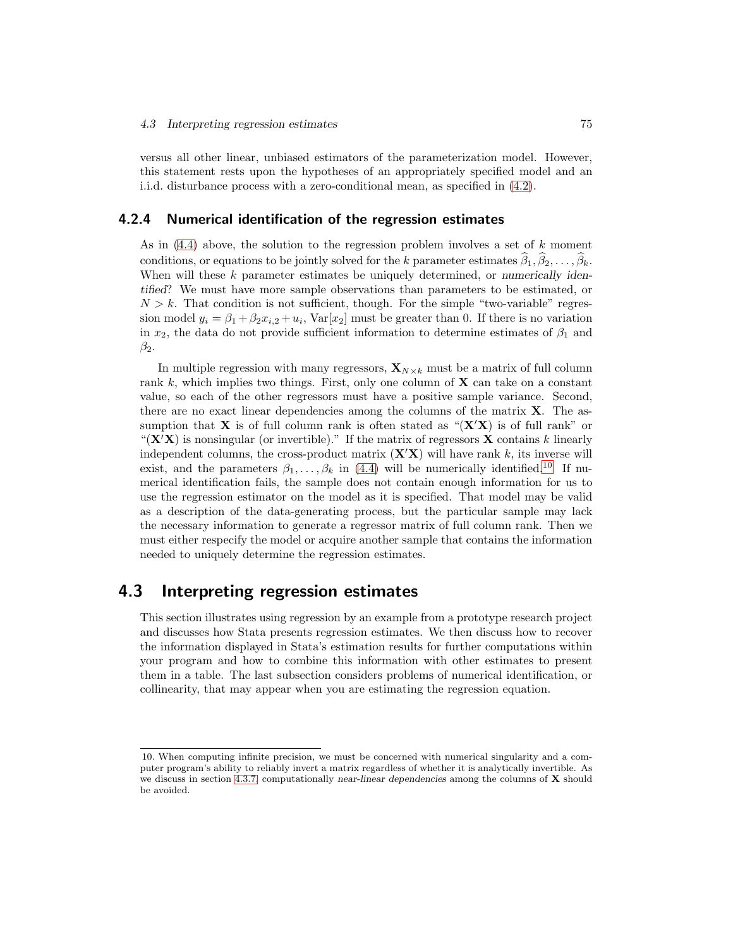versus all other linear, unbiased estimators of the parameterization model. However, this statement rests upon the hypotheses of an appropriately specified model and an i.i.d. disturbance process with a zero-conditional mean, as specified in (4.2).

#### 4.2.4 Numerical identification of the regression estimates

As in (4.4) above, the solution to the regression problem involves a set of k moment conditions, or equations to be jointly solved for the k parameter estimates  $\widehat{\beta}_1, \widehat{\beta}_2, \ldots, \widehat{\beta}_k$ . When will these k parameter estimates be uniquely determined, or *numerically identified*? We must have more sample observations than parameters to be estimated, or  $N > k$ . That condition is not sufficient, though. For the simple "two-variable" regression model  $y_i = \beta_1 + \beta_2 x_{i,2} + u_i$ , Var $[x_2]$  must be greater than 0. If there is no variation in  $x_2$ , the data do not provide sufficient information to determine estimates of  $\beta_1$  and  $\beta_2$ .

In multiple regression with many regressors,  $\mathbf{X}_{N\times k}$  must be a matrix of full column rank  $k$ , which implies two things. First, only one column of  $X$  can take on a constant value, so each of the other regressors must have a positive sample variance. Second, there are no exact linear dependencies among the columns of the matrix  $X$ . The assumption that **X** is of full column rank is often stated as " $(X/X)$  is of full rank" or " $(X'X)$  is nonsingular (or invertible)." If the matrix of regressors X contains k linearly independent columns, the cross-product matrix  $(X'X)$  will have rank k, its inverse will exist, and the parameters  $\beta_1, \ldots, \beta_k$  in (4.4) will be numerically identified.<sup>10</sup> If numerical identification fails, the sample does not contain enough information for us to use the regression estimator on the model as it is specified. That model may be valid as a description of the data-generating process, but the particular sample may lack the necessary information to generate a regressor matrix of full column rank. Then we must either respecify the model or acquire another sample that contains the information needed to uniquely determine the regression estimates.

## 4.3 Interpreting regression estimates

This section illustrates using regression by an example from a prototype research project and discusses how Stata presents regression estimates. We then discuss how to recover the information displayed in Stata's estimation results for further computations within your program and how to combine this information with other estimates to present them in a table. The last subsection considers problems of numerical identification, or collinearity, that may appear when you are estimating the regression equation.

<sup>10.</sup> When computing infinite precision, we must be concerned with numerical singularity and a computer program's ability to reliably invert a matrix regardless of whether it is analytically invertible. As we discuss in section 4.3.7, computationally near-linear dependencies among the columns of  $\bf{X}$  should be avoided.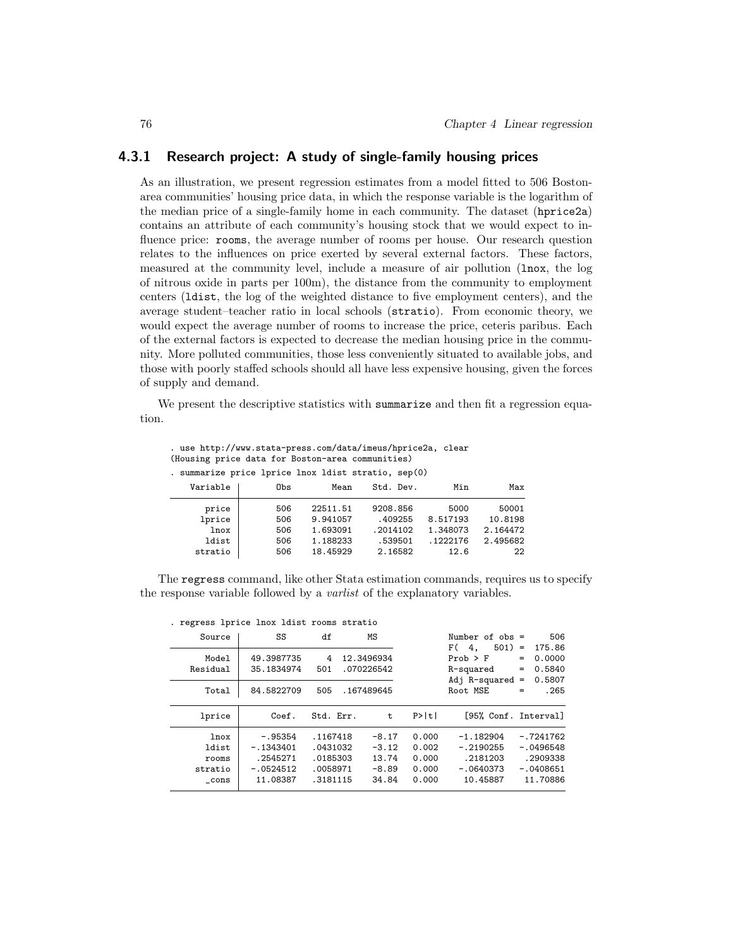## 4.3.1 Research project: A study of single-family housing prices

As an illustration, we present regression estimates from a model fitted to 506 Bostonarea communities' housing price data, in which the response variable is the logarithm of the median price of a single-family home in each community. The dataset (hprice2a) contains an attribute of each community's housing stock that we would expect to influence price: rooms, the average number of rooms per house. Our research question relates to the influences on price exerted by several external factors. These factors, measured at the community level, include a measure of air pollution (lnox, the log of nitrous oxide in parts per 100m), the distance from the community to employment centers (ldist, the log of the weighted distance to five employment centers), and the average student–teacher ratio in local schools (stratio). From economic theory, we would expect the average number of rooms to increase the price, ceteris paribus. Each of the external factors is expected to decrease the median housing price in the community. More polluted communities, those less conveniently situated to available jobs, and those with poorly staffed schools should all have less expensive housing, given the forces of supply and demand.

We present the descriptive statistics with **summarize** and then fit a regression equation.

. use http://www.stata-press.com/data/imeus/hprice2a, clear (Housing price data for Boston-area communities)

| . summarize price lprice lnox ldist stratio, sep(0) |     |          |           |          |          |
|-----------------------------------------------------|-----|----------|-----------|----------|----------|
| Variable                                            | Obs | Mean     | Std. Dev. | Min      | Max      |
| price                                               | 506 | 22511.51 | 9208.856  | 5000     | 50001    |
| lprice                                              | 506 | 9.941057 | .409255   | 8.517193 | 10.8198  |
| lnox                                                | 506 | 1.693091 | .2014102  | 1.348073 | 2.164472 |
| ldist                                               | 506 | 1.188233 | .539501   | .1222176 | 2.495682 |
| stratio                                             | 506 | 18.45929 | 2.16582   | 12.6     | 22       |

The regress command, like other Stata estimation commands, requires us to specify the response variable followed by a varlist of the explanatory variables.

| . Tegless iprice flox fuist fooms stratio |             |           |    |            |       |                      |     |             |
|-------------------------------------------|-------------|-----------|----|------------|-------|----------------------|-----|-------------|
| Source                                    | SS          | df        | ΜS |            |       | Number of $obs =$    |     | 506         |
|                                           |             |           |    |            |       | $501$ =<br>F(<br>4.  |     | 175.86      |
| Model                                     | 49.3987735  | 4         |    | 12.3496934 |       | $Prob$ > $F$         | =   | 0.0000      |
| Residual                                  | 35.1834974  | 501       |    | .070226542 |       | R-squared            | $=$ | 0.5840      |
|                                           |             |           |    |            |       | Adj R-squared        | $=$ | 0.5807      |
| Total                                     | 84.5822709  | 505       |    | .167489645 |       | Root MSE             | $=$ | .265        |
|                                           |             |           |    |            |       |                      |     |             |
| lprice                                    | Coef.       | Std. Err. |    | t          | P>  t | [95% Conf. Interval] |     |             |
| lnox                                      | $-.95354$   | .1167418  |    | $-8.17$    | 0.000 | $-1.182904$          |     | $-.7241762$ |
| ldist                                     | $-.1343401$ | .0431032  |    | $-3.12$    | 0.002 | $-.2190255$          |     | $-.0496548$ |
| rooms                                     | .2545271    | .0185303  |    | 13.74      | 0.000 | .2181203             |     | .2909338    |
| stratio                                   | $-.0524512$ | .0058971  |    | $-8.89$    | 0.000 | $-.0640373$          |     | $-.0408651$ |
| cons                                      | 11.08387    | .3181115  |    | 34.84      | 0.000 | 10.45887             |     | 11.70886    |
|                                           |             |           |    |            |       |                      |     |             |

. regress lprice lnox ldist rooms stratio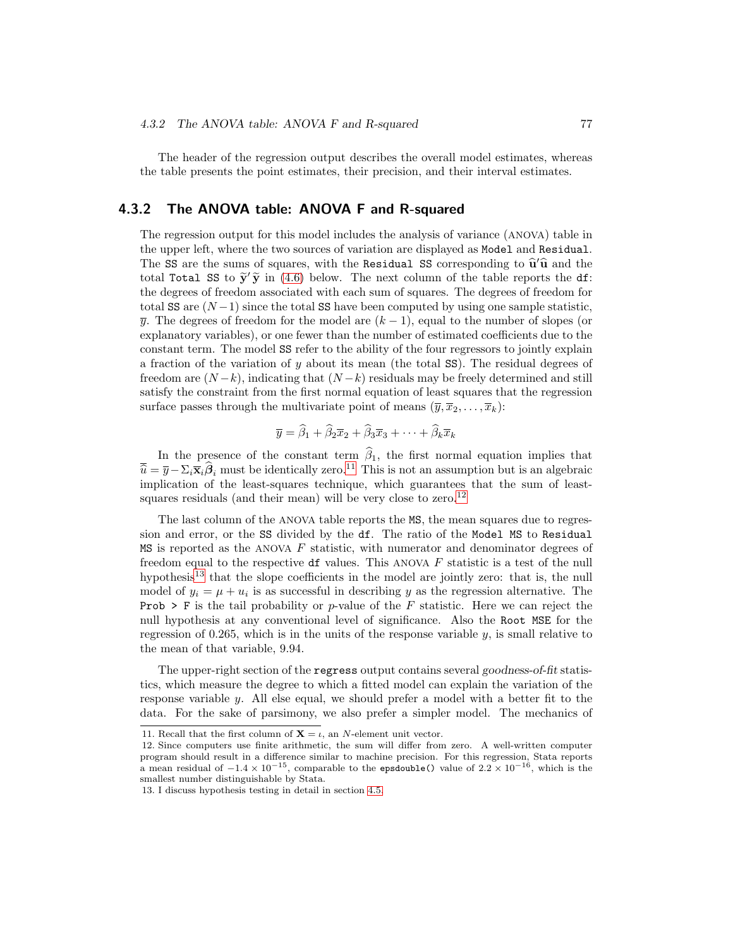The header of the regression output describes the overall model estimates, whereas the table presents the point estimates, their precision, and their interval estimates.

### 4.3.2 The ANOVA table: ANOVA F and R-squared

The regression output for this model includes the analysis of variance (ANOVA) table in the upper left, where the two sources of variation are displayed as Model and Residual. The SS are the sums of squares, with the Residual SS corresponding to  $\hat{\mathbf{u}}'\hat{\mathbf{u}}$  and the total Total SS to  $\tilde{y}'\tilde{y}$  in (4.6) below. The next column of the table reports the df:<br>the degree of freedom consisted with seek now of encance. The degree of freedom for the degrees of freedom associated with each sum of squares. The degrees of freedom for total SS are  $(N-1)$  since the total SS have been computed by using one sample statistic,  $\overline{y}$ . The degrees of freedom for the model are  $(k-1)$ , equal to the number of slopes (or explanatory variables), or one fewer than the number of estimated coefficients due to the constant term. The model SS refer to the ability of the four regressors to jointly explain a fraction of the variation of  $y$  about its mean (the total SS). The residual degrees of freedom are  $(N-k)$ , indicating that  $(N-k)$  residuals may be freely determined and still satisfy the constraint from the first normal equation of least squares that the regression surface passes through the multivariate point of means  $(\overline{y}, \overline{x}_2, \ldots, \overline{x}_k)$ :

$$
\overline{y} = \widehat{\beta}_1 + \widehat{\beta}_2 \overline{x}_2 + \widehat{\beta}_3 \overline{x}_3 + \cdots + \widehat{\beta}_k \overline{x}_k
$$

In the presence of the constant term  $\hat{\beta}_1$ , the first normal equation implies that  $\overline{\hat{u}} = \overline{y} - \Sigma_i \overline{x}_i \hat{\beta}_i$  must be identically zero.<sup>11</sup> This is not an assumption but is an algebraic implication of the least-squares technique, which guarantees that the sum of leastsquares residuals (and their mean) will be very close to zero.<sup>12</sup>

The last column of the ANOVA table reports the MS, the mean squares due to regression and error, or the SS divided by the df. The ratio of the Model MS to Residual MS is reported as the ANOVA  $F$  statistic, with numerator and denominator degrees of freedom equal to the respective df values. This ANOVA  $F$  statistic is a test of the null hypothesis<sup>13</sup> that the slope coefficients in the model are jointly zero: that is, the null model of  $y_i = \mu + u_i$  is as successful in describing y as the regression alternative. The **Prob > F** is the tail probability or p-value of the F statistic. Here we can reject the null hypothesis at any conventional level of significance. Also the Root MSE for the regression of 0.265, which is in the units of the response variable  $y$ , is small relative to the mean of that variable, 9.94.

The upper-right section of the regress output contains several *goodness-of-fit* statistics, which measure the degree to which a fitted model can explain the variation of the response variable y. All else equal, we should prefer a model with a better fit to the data. For the sake of parsimony, we also prefer a simpler model. The mechanics of

<sup>11.</sup> Recall that the first column of  $X = \iota$ , an N-element unit vector.

<sup>12.</sup> Since computers use finite arithmetic, the sum will differ from zero. A well-written computer program should result in a difference similar to machine precision. For this regression, Stata reports a mean residual of  $-1.4 \times 10^{-15}$ , comparable to the epsdouble() value of  $2.2 \times 10^{-16}$ , which is the smallest number distinguishable by Stata.

<sup>13.</sup> I discuss hypothesis testing in detail in section 4.5.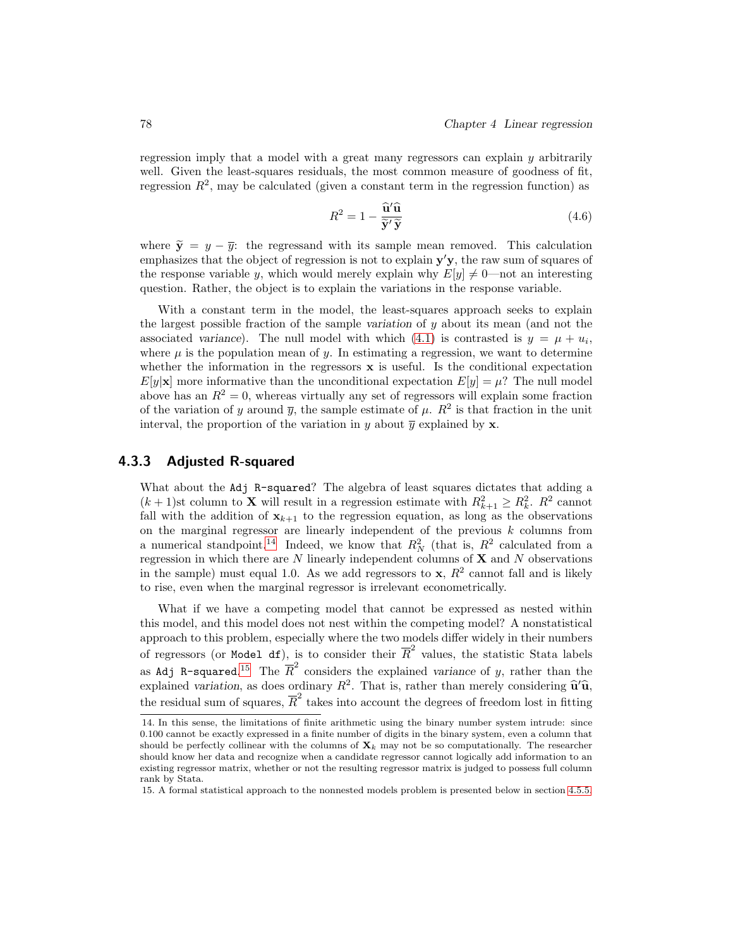regression imply that a model with a great many regressors can explain y arbitrarily well. Given the least-squares residuals, the most common measure of goodness of fit, regression  $R^2$ , may be calculated (given a constant term in the regression function) as

$$
R^2 = 1 - \frac{\widehat{\mathbf{u}}'\widehat{\mathbf{u}}}{\widetilde{\mathbf{y}}'\widetilde{\mathbf{y}}}
$$
(4.6)

where  $\tilde{y} = y - \overline{y}$ : the regressand with its sample mean removed. This calculation emphasizes that the object of regression is not to explain  $y'y$ , the raw sum of squares of the response variable y, which would merely explain why  $E[y] \neq 0$ —not an interesting question. Rather, the object is to explain the variations in the response variable.

With a constant term in the model, the least-squares approach seeks to explain the largest possible fraction of the sample *variation* of y about its mean (and not the associated *variance*). The null model with which  $(4.1)$  is contrasted is  $y = \mu + u_i$ , where  $\mu$  is the population mean of y. In estimating a regression, we want to determine whether the information in the regressors  $x$  is useful. Is the conditional expectation  $E[y|\mathbf{x}]$  more informative than the unconditional expectation  $E[y] = \mu$ ? The null model above has an  $R^2 = 0$ , whereas virtually any set of regressors will explain some fraction of the variation of y around  $\bar{y}$ , the sample estimate of  $\mu$ .  $R^2$  is that fraction in the unit interval, the proportion of the variation in y about  $\overline{y}$  explained by **x**.

## 4.3.3 Adjusted R-squared

What about the Adj R-squared? The algebra of least squares dictates that adding a  $(k+1)$ st column to **X** will result in a regression estimate with  $R_{k+1}^2 \geq R_k^2$ .  $R^2$  cannot fall with the addition of  $x_{k+1}$  to the regression equation, as long as the observations on the marginal regressor are linearly independent of the previous  $k$  columns from a numerical standpoint.<sup>14</sup> Indeed, we know that  $R_N^2$  (that is,  $R^2$  calculated from a regression in which there are  $N$  linearly independent columns of  $\mathbf X$  and  $N$  observations in the sample) must equal 1.0. As we add regressors to  $x, R<sup>2</sup>$  cannot fall and is likely to rise, even when the marginal regressor is irrelevant econometrically.

What if we have a competing model that cannot be expressed as nested within this model, and this model does not nest within the competing model? A nonstatistical approach to this problem, especially where the two models differ widely in their numbers of regressors (or Model df), is to consider their  $\overline{R}^2$  values, the statistic Stata labels as Adj R-squared.<sup>15</sup> The  $\overline{R}^2$  considers the explained *variance* of y, rather than the explained *variation*, as does ordinary  $R^2$ . That is, rather than merely considering  $\hat{u}'\hat{u}$ , the residual sum of squares,  $\overline{R}^2$  takes into account the degrees of freedom lost in fitting

<sup>14.</sup> In this sense, the limitations of finite arithmetic using the binary number system intrude: since 0.100 cannot be exactly expressed in a finite number of digits in the binary system, even a column that should be perfectly collinear with the columns of  $\mathbf{X}_k$  may not be so computationally. The researcher should know her data and recognize when a candidate regressor cannot logically add information to an existing regressor matrix, whether or not the resulting regressor matrix is judged to possess full column rank by Stata.

<sup>15.</sup> A formal statistical approach to the nonnested models problem is presented below in section 4.5.5.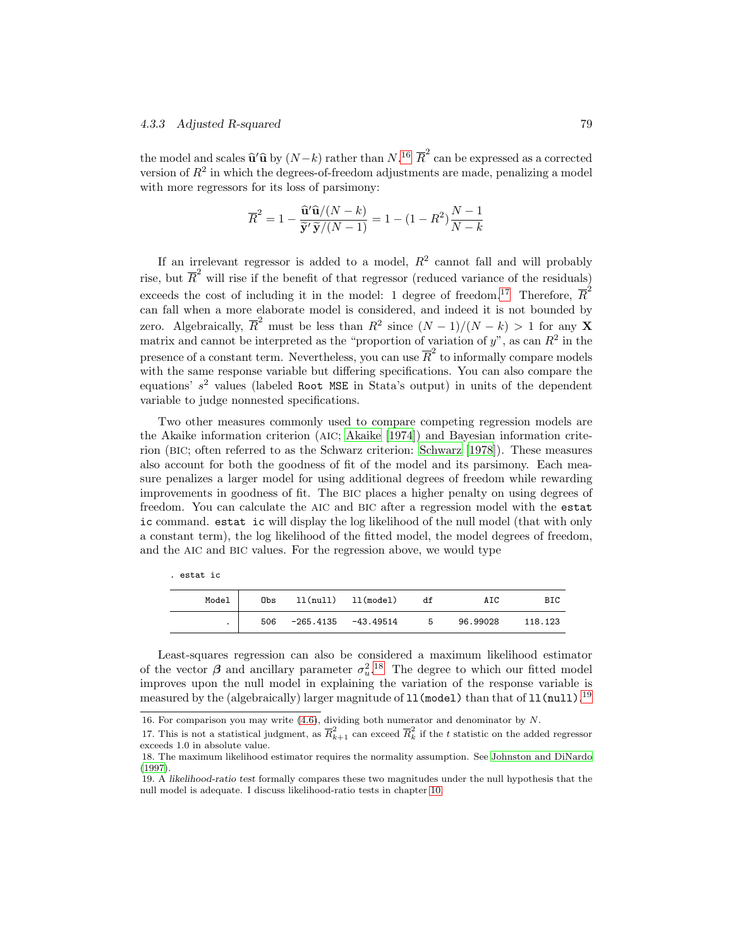the model and scales  $\hat{\mathbf{u}}' \hat{\mathbf{u}}$  by  $(N-k)$  rather than  $N^{16}$   $\overline{R}^2$  can be expressed as a corrected version of  $R^2$  in which the degrees-of-freedom adjustments are made, penalizing a model with more regressors for its loss of parsimony:

$$
\overline{R}^2 = 1 - \frac{\widehat{\mathbf{u}}^{\prime} \widehat{\mathbf{u}} / (N - k)}{\widetilde{\mathbf{y}}^{\prime} \widetilde{\mathbf{y}} / (N - 1)} = 1 - (1 - R^2) \frac{N - 1}{N - k}
$$

If an irrelevant regressor is added to a model,  $R^2$  cannot fall and will probably rise, but  $\overline{R}^2$  will rise if the benefit of that regressor (reduced variance of the residuals) exceeds the cost of including it in the model: 1 degree of freedom.<sup>17</sup> Therefore,  $\overline{R}^2$ can fall when a more elaborate model is considered, and indeed it is not bounded by zero. Algebraically,  $\overline{R}^2$  must be less than  $R^2$  since  $(N-1)/(N-k) > 1$  for any **X** matrix and cannot be interpreted as the "proportion of variation of  $y$ ", as can  $R^2$  in the presence of a constant term. Nevertheless, you can use  $\overline{R}^2$  to informally compare models with the same response variable but differing specifications. You can also compare the equations'  $s^2$  values (labeled Root MSE in Stata's output) in units of the dependent variable to judge nonnested specifications.

Two other measures commonly used to compare competing regression models are the Akaike information criterion (AIC; Akaike [1974]) and Bayesian information criterion (BIC; often referred to as the Schwarz criterion: Schwarz [1978]). These measures also account for both the goodness of fit of the model and its parsimony. Each measure penalizes a larger model for using additional degrees of freedom while rewarding improvements in goodness of fit. The BIC places a higher penalty on using degrees of freedom. You can calculate the AIC and BIC after a regression model with the estat ic command. estat ic will display the log likelihood of the null model (that with only a constant term), the log likelihood of the fitted model, the model degrees of freedom, and the AIC and BIC values. For the regression above, we would type

| Model | Obs |                       | ll(null) ll(model) | df  | AIC      | BIC     |
|-------|-----|-----------------------|--------------------|-----|----------|---------|
|       | 506 | $-265.4135 -43.49514$ |                    | - 5 | 96.99028 | 118.123 |

. estat ic

Least-squares regression can also be considered a maximum likelihood estimator of the vector  $\beta$  and ancillary parameter  $\sigma_u^2$ .<sup>18</sup> The degree to which our fitted model improves upon the null model in explaining the variation of the response variable is measured by the (algebraically) larger magnitude of  $11$  (model) than that of  $11$  (null).  $^{19}$ 

<sup>16.</sup> For comparison you may write  $(4.6)$ , dividing both numerator and denominator by N.

<sup>17.</sup> This is not a statistical judgment, as  $\overline{R}_{k+1}^2$  can exceed  $\overline{R}_k^2$  if the t statistic on the added regressor exceeds 1.0 in absolute value.

<sup>18.</sup> The maximum likelihood estimator requires the normality assumption. See Johnston and DiNardo (1997).

<sup>19.</sup> A likelihood-ratio test formally compares these two magnitudes under the null hypothesis that the null model is adequate. I discuss likelihood-ratio tests in chapter 10.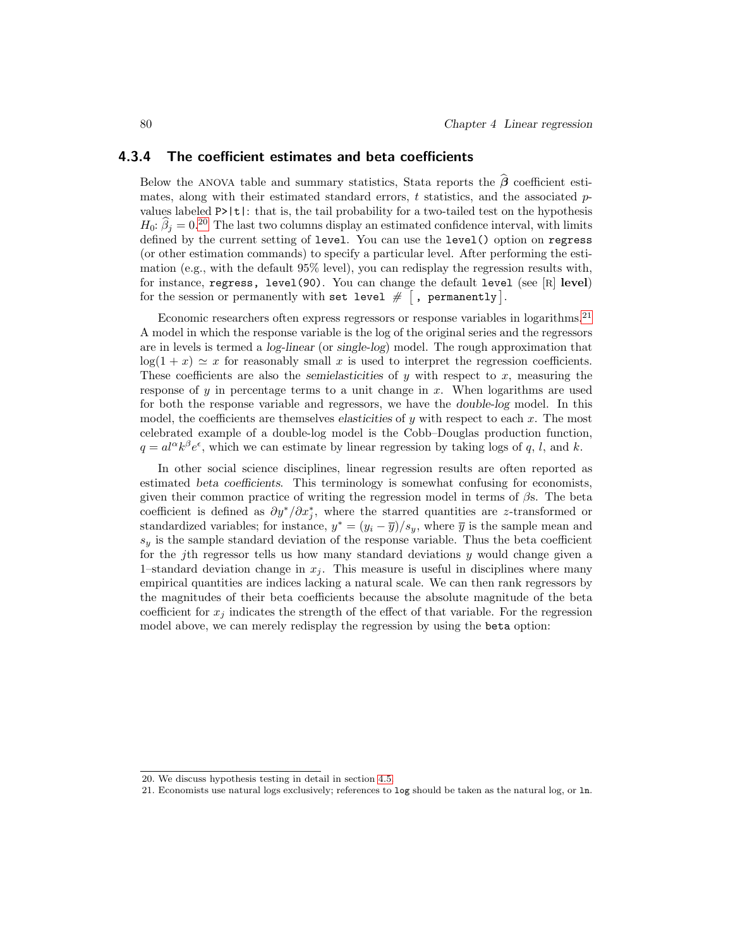## 4.3.4 The coefficient estimates and beta coefficients

Below the ANOVA table and summary statistics, Stata reports the  $\hat{\beta}$  coefficient estimates, along with their estimated standard errors,  $t$  statistics, and the associated  $p$ values labeled  $P$ >|t|: that is, the tail probability for a two-tailed test on the hypothesis  $H_0: \beta_i = 0^{20}$  The last two columns display an estimated confidence interval, with limits defined by the current setting of level. You can use the level() option on regress (or other estimation commands) to specify a particular level. After performing the estimation (e.g., with the default 95% level), you can redisplay the regression results with, for instance, regress, level(90). You can change the default level (see [R] level) for the session or permanently with set level  $\#$   $\lceil$ , permanently  $\rceil$ .

Economic researchers often express regressors or response variables in logarithms.<sup>21</sup> A model in which the response variable is the log of the original series and the regressors are in levels is termed a *log-linear* (or *single-log*) model. The rough approximation that  $log(1 + x) \simeq x$  for reasonably small x is used to interpret the regression coefficients. These coefficients are also the *semielasticities* of y with respect to x, measuring the response of  $y$  in percentage terms to a unit change in  $x$ . When logarithms are used for both the response variable and regressors, we have the *double-log* model. In this model, the coefficients are themselves *elasticities* of y with respect to each x. The most celebrated example of a double-log model is the Cobb–Douglas production function,  $q = al^{\alpha}k^{\beta}e^{\epsilon}$ , which we can estimate by linear regression by taking logs of q, l, and k.

In other social science disciplines, linear regression results are often reported as estimated *beta coefficients*. This terminology is somewhat confusing for economists, given their common practice of writing the regression model in terms of  $\beta$ s. The beta coefficient is defined as  $\partial y^*/\partial x_j^*$ , where the starred quantities are z-transformed or standardized variables; for instance,  $y^* = (y_i - \overline{y})/s_y$ , where  $\overline{y}$  is the sample mean and  $s_y$  is the sample standard deviation of the response variable. Thus the beta coefficient for the j<sup>th</sup> regressor tells us how many standard deviations  $y$  would change given a 1–standard deviation change in  $x_j$ . This measure is useful in disciplines where many empirical quantities are indices lacking a natural scale. We can then rank regressors by the magnitudes of their beta coefficients because the absolute magnitude of the beta coefficient for  $x_j$  indicates the strength of the effect of that variable. For the regression model above, we can merely redisplay the regression by using the beta option:

<sup>20.</sup> We discuss hypothesis testing in detail in section 4.5.

<sup>21.</sup> Economists use natural logs exclusively; references to log should be taken as the natural log, or ln.